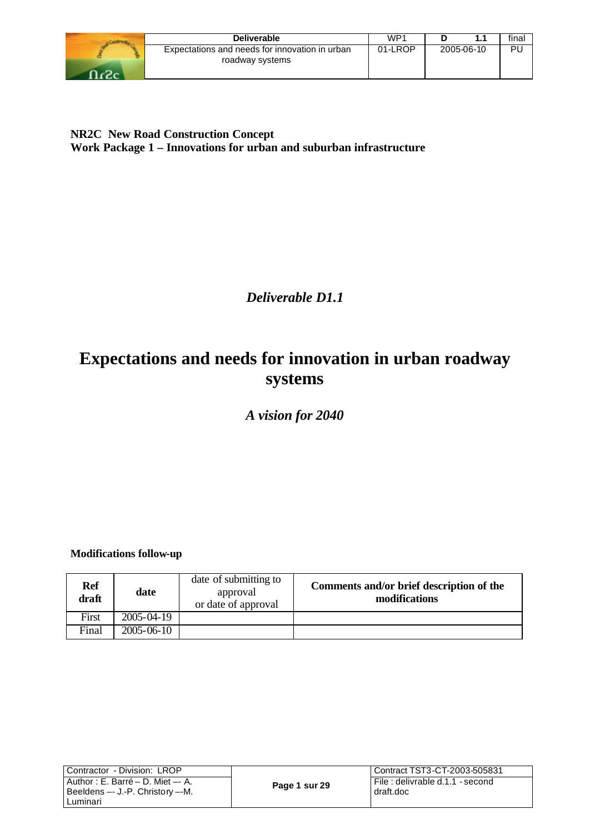| <b>Deliverable</b>                                                | WP1     |            | final |
|-------------------------------------------------------------------|---------|------------|-------|
| Expectations and needs for innovation in urban<br>roadway systems | 01-LROP | 2005-06-10 | PL    |
|                                                                   |         |            |       |

**NR2C New Road Construction Concept Work Package 1 – Innovations for urban and suburban infrastructure**

*Deliverable D1.1*

# **Expectations and needs for innovation in urban roadway systems**

*A vision for 2040*

**Modifications follow-up**

| <b>Ref</b><br>draft | date             | date of submitting to<br>approval<br>or date of approval | Comments and/or brief description of the<br>modifications |
|---------------------|------------------|----------------------------------------------------------|-----------------------------------------------------------|
| First               | 2005-04-19       |                                                          |                                                           |
| Final               | $2005 - 06 - 10$ |                                                          |                                                           |

| Contractor - Division: LROP                                                |               | i Contract TST3-CT-2003-505831                |
|----------------------------------------------------------------------------|---------------|-----------------------------------------------|
| l Author : E. Barré – D. Miet –- A.<br>l Beeldens --- J.-P. Christory --M. | Page 1 sur 29 | File : delivrable d.1.1 - second<br>draft.doc |
| Luminari                                                                   |               |                                               |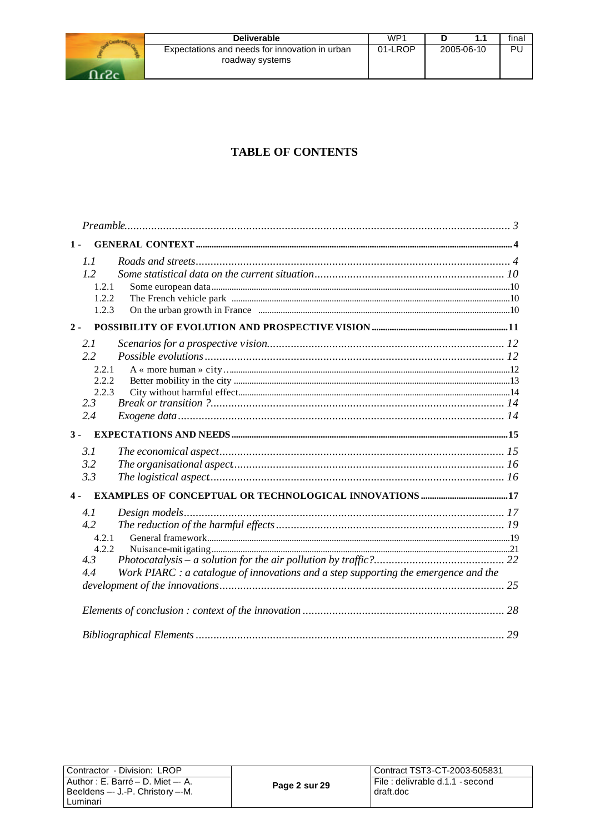| <b>Deliverable</b>                                                | WP <sup>1</sup> |            | final |
|-------------------------------------------------------------------|-----------------|------------|-------|
| Expectations and needs for innovation in urban<br>roadway systems | 01-LROP         | 2005-06-10 | PL    |
|                                                                   |                 |            |       |

## **TABLE OF CONTENTS**

| $1 -$                                                                                      |  |
|--------------------------------------------------------------------------------------------|--|
| 1.1                                                                                        |  |
| 1.2                                                                                        |  |
| 1.2.1                                                                                      |  |
| 1.2.2                                                                                      |  |
| 1.2.3                                                                                      |  |
| $2 -$                                                                                      |  |
| 2.1                                                                                        |  |
| 2.2                                                                                        |  |
| 2.2.1                                                                                      |  |
| 2.2.2                                                                                      |  |
| 2.2.3                                                                                      |  |
| 2.3                                                                                        |  |
| 2.4                                                                                        |  |
| $3 -$                                                                                      |  |
| 3.1                                                                                        |  |
| 3.2                                                                                        |  |
| 3.3                                                                                        |  |
| $4 -$                                                                                      |  |
| 4.1                                                                                        |  |
| 4.2                                                                                        |  |
| 4.2.1                                                                                      |  |
| 4.2.2                                                                                      |  |
| 4.3                                                                                        |  |
| 4.4<br>Work PIARC : a catalogue of innovations and a step supporting the emergence and the |  |
|                                                                                            |  |
|                                                                                            |  |
|                                                                                            |  |
|                                                                                            |  |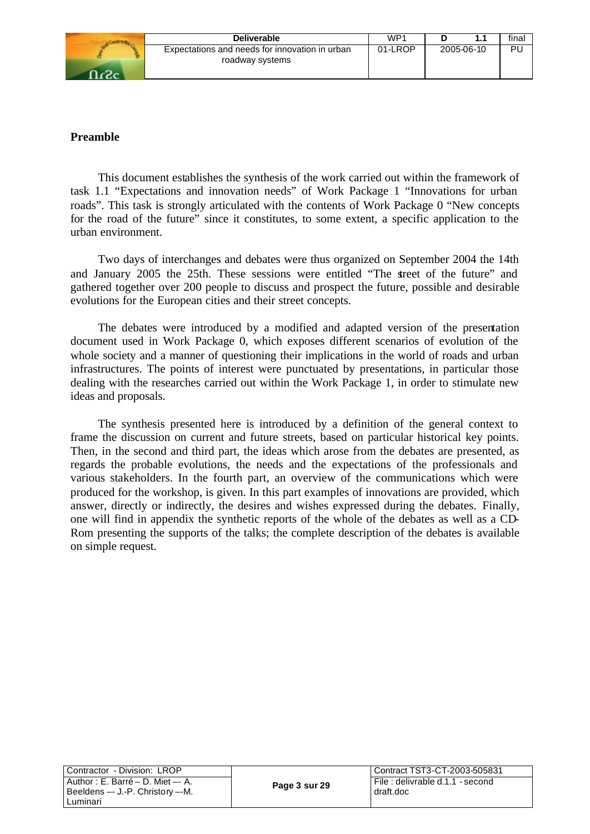| Deliverable                                                       | WP <sup>1</sup> |            | fina |
|-------------------------------------------------------------------|-----------------|------------|------|
| Expectations and needs for innovation in urban<br>roadway systems | 01-LROP         | 2005-06-10 | ΡI   |

#### **Preamble**

This document establishes the synthesis of the work carried out within the framework of task 1.1 "Expectations and innovation needs" of Work Package 1 "Innovations for urban roads". This task is strongly articulated with the contents of Work Package 0 "New concepts for the road of the future" since it constitutes, to some extent, a specific application to the urban environment.

Two days of interchanges and debates were thus organized on September 2004 the 14th and January 2005 the 25th. These sessions were entitled "The street of the future" and gathered together over 200 people to discuss and prospect the future, possible and desirable evolutions for the European cities and their street concepts.

The debates were introduced by a modified and adapted version of the presentation document used in Work Package 0, which exposes different scenarios of evolution of the whole society and a manner of questioning their implications in the world of roads and urban infrastructures. The points of interest were punctuated by presentations, in particular those dealing with the researches carried out within the Work Package 1, in order to stimulate new ideas and proposals.

The synthesis presented here is introduced by a definition of the general context to frame the discussion on current and future streets, based on particular historical key points. Then, in the second and third part, the ideas which arose from the debates are presented, as regards the probable evolutions, the needs and the expectations of the professionals and various stakeholders. In the fourth part, an overview of the communications which were produced for the workshop, is given. In this part examples of innovations are provided, which answer, directly or indirectly, the desires and wishes expressed during the debates. Finally, one will find in appendix the synthetic reports of the whole of the debates as well as a CD-Rom presenting the supports of the talks; the complete description of the debates is available on simple request.

| Contractor - Division: LROP       |
|-----------------------------------|
| Author : E. Barré - D. Miet -- A. |
| Beeldens -- J.-P. Christory --M.  |
| Luminari                          |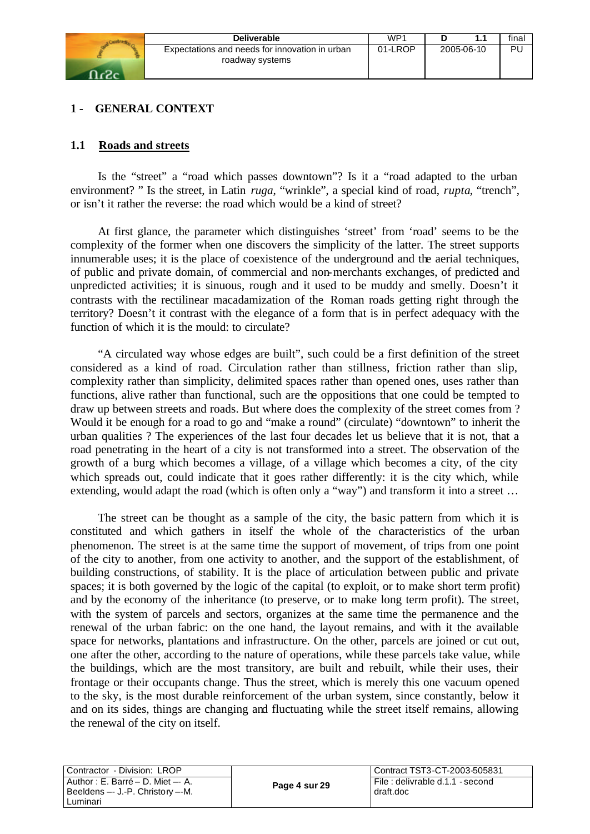

#### **1 - GENERAL CONTEXT**

#### **1.1 Roads and streets**

Is the "street" a "road which passes downtown"? Is it a "road adapted to the urban environment? " Is the street, in Latin *ruga*, "wrinkle", a special kind of road, *rupta*, "trench", or isn't it rather the reverse: the road which would be a kind of street?

At first glance, the parameter which distinguishes 'street' from 'road' seems to be the complexity of the former when one discovers the simplicity of the latter. The street supports innumerable uses; it is the place of coexistence of the underground and the aerial techniques, of public and private domain, of commercial and non-merchants exchanges, of predicted and unpredicted activities; it is sinuous, rough and it used to be muddy and smelly. Doesn't it contrasts with the rectilinear macadamization of the Roman roads getting right through the territory? Doesn't it contrast with the elegance of a form that is in perfect adequacy with the function of which it is the mould: to circulate?

"A circulated way whose edges are built", such could be a first definition of the street considered as a kind of road. Circulation rather than stillness, friction rather than slip, complexity rather than simplicity, delimited spaces rather than opened ones, uses rather than functions, alive rather than functional, such are the oppositions that one could be tempted to draw up between streets and roads. But where does the complexity of the street comes from ? Would it be enough for a road to go and "make a round" (circulate) "downtown" to inherit the urban qualities ? The experiences of the last four decades let us believe that it is not, that a road penetrating in the heart of a city is not transformed into a street. The observation of the growth of a burg which becomes a village, of a village which becomes a city, of the city which spreads out, could indicate that it goes rather differently: it is the city which, while extending, would adapt the road (which is often only a "way") and transform it into a street ...

The street can be thought as a sample of the city, the basic pattern from which it is constituted and which gathers in itself the whole of the characteristics of the urban phenomenon. The street is at the same time the support of movement, of trips from one point of the city to another, from one activity to another, and the support of the establishment, of building constructions, of stability. It is the place of articulation between public and private spaces; it is both governed by the logic of the capital (to exploit, or to make short term profit) and by the economy of the inheritance (to preserve, or to make long term profit). The street, with the system of parcels and sectors, organizes at the same time the permanence and the renewal of the urban fabric: on the one hand, the layout remains, and with it the available space for networks, plantations and infrastructure. On the other, parcels are joined or cut out, one after the other, according to the nature of operations, while these parcels take value, while the buildings, which are the most transitory, are built and rebuilt, while their uses, their frontage or their occupants change. Thus the street, which is merely this one vacuum opened to the sky, is the most durable reinforcement of the urban system, since constantly, below it and on its sides, things are changing and fluctuating while the street itself remains, allowing the renewal of the city on itself.

| Contractor - Division: LROP                                                            |               | Contract TST3-CT-2003-505831                 |
|----------------------------------------------------------------------------------------|---------------|----------------------------------------------|
| l Author : E. Barré – D. Miet –- A.<br>l Beeldens --- J.-P. Christory --M.<br>Luminari | Page 4 sur 29 | File: delivrable d.1.1 - second<br>draft.doc |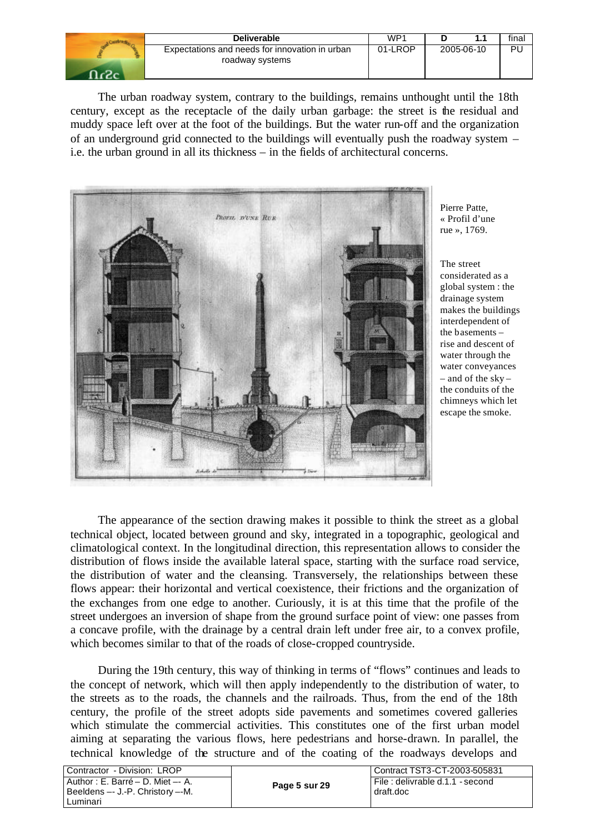| Deliverable                                                       | WP1     |            | final |
|-------------------------------------------------------------------|---------|------------|-------|
| Expectations and needs for innovation in urban<br>roadway systems | 01-LROP | 2005-06-10 | PU    |

The urban roadway system, contrary to the buildings, remains unthought until the 18th century, except as the receptacle of the daily urban garbage: the street is the residual and muddy space left over at the foot of the buildings. But the water run-off and the organization of an underground grid connected to the buildings will eventually push the roadway system – i.e. the urban ground in all its thickness – in the fields of architectural concerns.



Pierre Patte, « Profil d'une rue », 1769.

The street considerated as a global system : the drainage system makes the buildings interdependent of the basements – rise and descent of water through the water conveyances – and of the sky – the conduits of the chimneys which let escape the smoke.

The appearance of the section drawing makes it possible to think the street as a global technical object, located between ground and sky, integrated in a topographic, geological and climatological context. In the longitudinal direction, this representation allows to consider the distribution of flows inside the available lateral space, starting with the surface road service, the distribution of water and the cleansing. Transversely, the relationships between these flows appear: their horizontal and vertical coexistence, their frictions and the organization of the exchanges from one edge to another. Curiously, it is at this time that the profile of the street undergoes an inversion of shape from the ground surface point of view: one passes from a concave profile, with the drainage by a central drain left under free air, to a convex profile, which becomes similar to that of the roads of close-cropped countryside.

During the 19th century, this way of thinking in terms of "flows" continues and leads to the concept of network, which will then apply independently to the distribution of water, to the streets as to the roads, the channels and the railroads. Thus, from the end of the 18th century, the profile of the street adopts side pavements and sometimes covered galleries which stimulate the commercial activities. This constitutes one of the first urban model aiming at separating the various flows, here pedestrians and horse-drawn. In parallel, the technical knowledge of the structure and of the coating of the roadways develops and

| Contractor - Division: LROP                                                        |               | Contract TST3-CT-2003-505831                  |
|------------------------------------------------------------------------------------|---------------|-----------------------------------------------|
| Author: E. Barré – D. Miet –- A.<br>Beeldens -- J.-P. Christory --M.<br>l Luminari | Page 5 sur 29 | File : delivrable d.1.1 - second<br>draft.doc |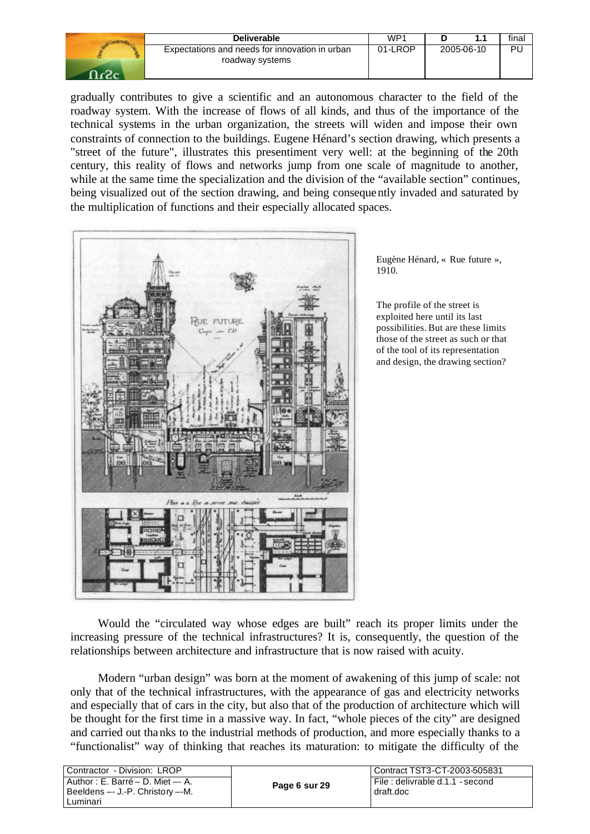| Deliverable                                                       | WP1     |            | final |
|-------------------------------------------------------------------|---------|------------|-------|
| Expectations and needs for innovation in urban<br>roadway systems | 01-LROP | 2005-06-10 | PU    |

gradually contributes to give a scientific and an autonomous character to the field of the roadway system. With the increase of flows of all kinds, and thus of the importance of the technical systems in the urban organization, the streets will widen and impose their own constraints of connection to the buildings. Eugene Hénard's section drawing, which presents a "street of the future", illustrates this presentiment very well: at the beginning of the 20th century, this reality of flows and networks jump from one scale of magnitude to another, while at the same time the specialization and the division of the "available section" continues, being visualized out of the section drawing, and being consequently invaded and saturated by the multiplication of functions and their especially allocated spaces.



Eugène Hénard, « Rue future », 1910.

The profile of the street is exploited here until its last possibilities. But are these limits those of the street as such or that of the tool of its representation and design, the drawing section?

Would the "circulated way whose edges are built" reach its proper limits under the increasing pressure of the technical infrastructures? It is, consequently, the question of the relationships between architecture and infrastructure that is now raised with acuity.

Modern "urban design" was born at the moment of awakening of this jump of scale: not only that of the technical infrastructures, with the appearance of gas and electricity networks and especially that of cars in the city, but also that of the production of architecture which will be thought for the first time in a massive way. In fact, "whole pieces of the city" are designed and carried out thanks to the industrial methods of production, and more especially thanks to a "functionalist" way of thinking that reaches its maturation: to mitigate the difficulty of the

| l Contractor - Division: LROP                                                       |               | l Contract TST3-CT-2003-505831                  |  |  |
|-------------------------------------------------------------------------------------|---------------|-------------------------------------------------|--|--|
| Author : E. Barré – D. Miet –- A.<br>I Beeldens -- J.-P. Christory --M.<br>Luminari | Page 6 sur 29 | i File : delivrable d.1.1 - second<br>draft.doc |  |  |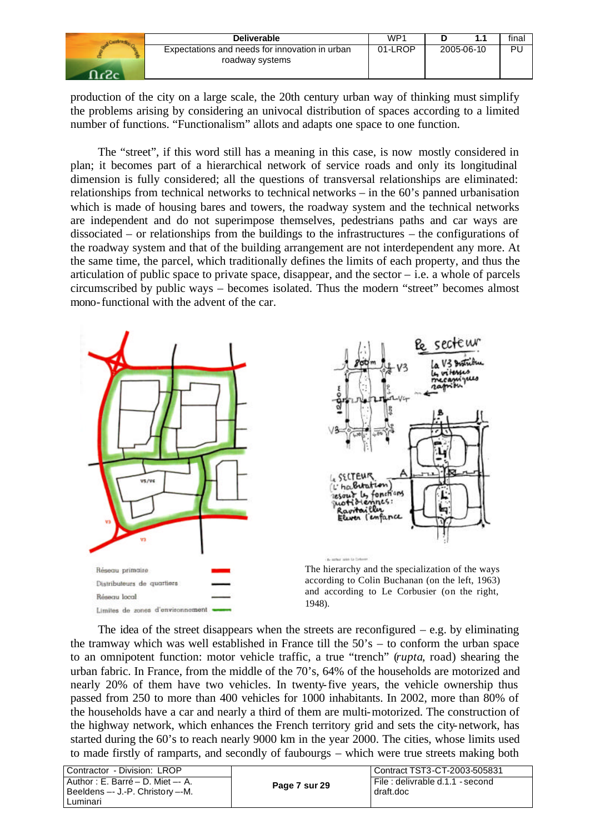| <b>Deliverable</b>                                                | WP1     |            | final |
|-------------------------------------------------------------------|---------|------------|-------|
| Expectations and needs for innovation in urban<br>roadway systems | 01-LROP | 2005-06-10 | Ρl    |

production of the city on a large scale, the 20th century urban way of thinking must simplify the problems arising by considering an univocal distribution of spaces according to a limited number of functions. "Functionalism" allots and adapts one space to one function.

The "street", if this word still has a meaning in this case, is now mostly considered in plan; it becomes part of a hierarchical network of service roads and only its longitudinal dimension is fully considered; all the questions of transversal relationships are eliminated: relationships from technical networks to technical networks – in the 60's panned urbanisation which is made of housing bares and towers, the roadway system and the technical networks are independent and do not superimpose themselves, pedestrians paths and car ways are dissociated – or relationships from the buildings to the infrastructures – the configurations of the roadway system and that of the building arrangement are not interdependent any more. At the same time, the parcel, which traditionally defines the limits of each property, and thus the articulation of public space to private space, disappear, and the sector  $-$  i.e. a whole of parcels circumscribed by public ways – becomes isolated. Thus the modern "street" becomes almost mono-functional with the advent of the car.





The hierarchy and the specialization of the ways according to Colin Buchanan (on the left, 1963) and according to Le Corbusier (on the right, 1948).

The idea of the street disappears when the streets are reconfigured  $-$  e.g. by eliminating the tramway which was well established in France till the 50's – to conform the urban space to an omnipotent function: motor vehicle traffic, a true "trench" (*rupta*, road) shearing the urban fabric. In France, from the middle of the 70's, 64% of the households are motorized and nearly 20% of them have two vehicles. In twenty-five years, the vehicle ownership thus passed from 250 to more than 400 vehicles for 1000 inhabitants. In 2002, more than 80% of the households have a car and nearly a third of them are multi-motorized. The construction of the highway network, which enhances the French territory grid and sets the city-network, has started during the 60's to reach nearly 9000 km in the year 2000. The cities, whose limits used to made firstly of ramparts, and secondly of faubourgs – which were true streets making both

| Contractor - Division: LROP                                                       |               | Contract TST3-CT-2003-505831                  |
|-----------------------------------------------------------------------------------|---------------|-----------------------------------------------|
| Author : E. Barré – D. Miet –- A.<br>Beeldens -- J.-P. Christory --M.<br>Luminari | Page 7 sur 29 | File : delivrable d.1.1 - second<br>draft.doc |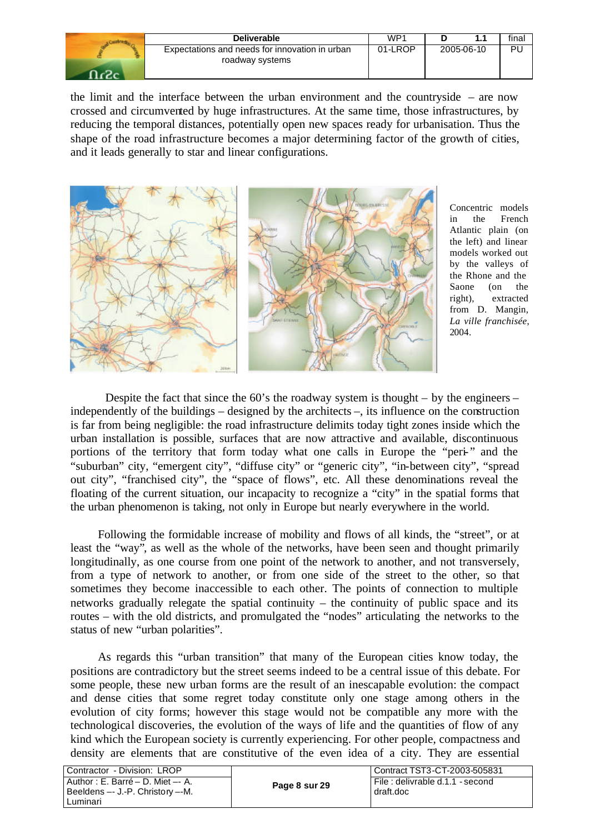| <b>Deliverable</b>                                                | WP1     |            | final |
|-------------------------------------------------------------------|---------|------------|-------|
| Expectations and needs for innovation in urban<br>roadway systems | 01-LROP | 2005-06-10 | PU    |

the limit and the interface between the urban environment and the countryside – are now crossed and circumvented by huge infrastructures. At the same time, those infrastructures, by reducing the temporal distances, potentially open new spaces ready for urbanisation. Thus the shape of the road infrastructure becomes a major determining factor of the growth of cities, and it leads generally to star and linear configurations.



Concentric models in the French Atlantic plain (on the left) and linear models worked out by the valleys of the Rhone and the Saone (on the right), extracted from D. Mangin, *La ville franchisée*, 2004.

Despite the fact that since the  $60$ 's the roadway system is thought – by the engineers – independently of the buildings – designed by the architects –, its influence on the construction is far from being negligible: the road infrastructure delimits today tight zones inside which the urban installation is possible, surfaces that are now attractive and available, discontinuous portions of the territory that form today what one calls in Europe the "peri-" and the "suburban" city, "emergent city", "diffuse city" or "generic city", "in-between city", "spread out city", "franchised city", the "space of flows", etc. All these denominations reveal the floating of the current situation, our incapacity to recognize a "city" in the spatial forms that the urban phenomenon is taking, not only in Europe but nearly everywhere in the world.

Following the formidable increase of mobility and flows of all kinds, the "street", or at least the "way", as well as the whole of the networks, have been seen and thought primarily longitudinally, as one course from one point of the network to another, and not transversely, from a type of network to another, or from one side of the street to the other, so that sometimes they become inaccessible to each other. The points of connection to multiple networks gradually relegate the spatial continuity – the continuity of public space and its routes – with the old districts, and promulgated the "nodes" articulating the networks to the status of new "urban polarities".

As regards this "urban transition" that many of the European cities know today, the positions are contradictory but the street seems indeed to be a central issue of this debate. For some people, these new urban forms are the result of an inescapable evolution: the compact and dense cities that some regret today constitute only one stage among others in the evolution of city forms; however this stage would not be compatible any more with the technological discoveries, the evolution of the ways of life and the quantities of flow of any kind which the European society is currently experiencing. For other people, compactness and density are elements that are constitutive of the even idea of a city. They are essential

| Contractor - Division: LROP       |               | Contract TST3-CT-2003-505831     |  |  |
|-----------------------------------|---------------|----------------------------------|--|--|
| Author : E. Barré – D. Miet –- A. | Page 8 sur 29 | File : delivrable d.1.1 - second |  |  |
| Beeldens -- J.-P. Christory --M.  |               | draft.doc                        |  |  |
| l Luminari                        |               |                                  |  |  |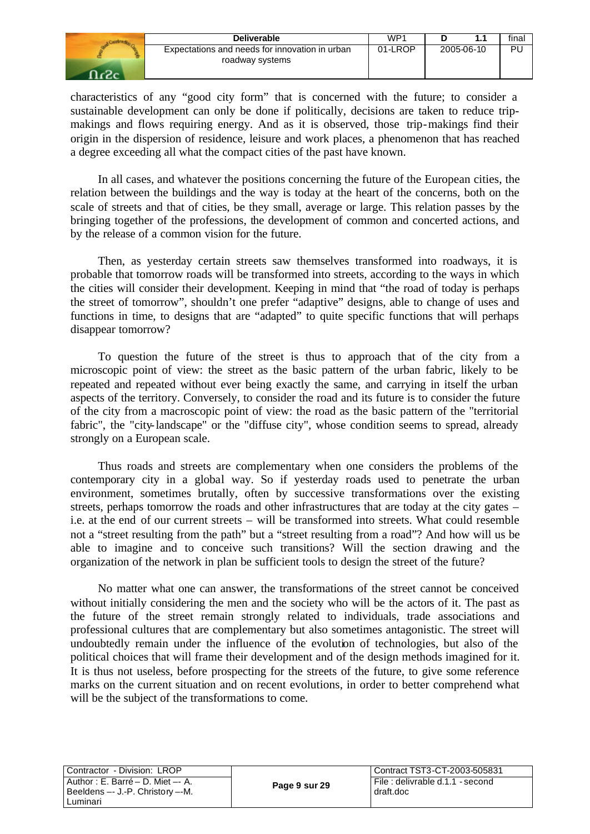| <b>Deliverable</b>                                                | WP <sup>1</sup> |            | final |
|-------------------------------------------------------------------|-----------------|------------|-------|
| Expectations and needs for innovation in urban<br>roadway systems | 01-LROP         | 2005-06-10 | Pι    |

characteristics of any "good city form" that is concerned with the future; to consider a sustainable development can only be done if politically, decisions are taken to reduce tripmakings and flows requiring energy. And as it is observed, those trip-makings find their origin in the dispersion of residence, leisure and work places, a phenomenon that has reached a degree exceeding all what the compact cities of the past have known.

In all cases, and whatever the positions concerning the future of the European cities, the relation between the buildings and the way is today at the heart of the concerns, both on the scale of streets and that of cities, be they small, average or large. This relation passes by the bringing together of the professions, the development of common and concerted actions, and by the release of a common vision for the future.

Then, as yesterday certain streets saw themselves transformed into roadways, it is probable that tomorrow roads will be transformed into streets, according to the ways in which the cities will consider their development. Keeping in mind that "the road of today is perhaps the street of tomorrow", shouldn't one prefer "adaptive" designs, able to change of uses and functions in time, to designs that are "adapted" to quite specific functions that will perhaps disappear tomorrow?

To question the future of the street is thus to approach that of the city from a microscopic point of view: the street as the basic pattern of the urban fabric, likely to be repeated and repeated without ever being exactly the same, and carrying in itself the urban aspects of the territory. Conversely, to consider the road and its future is to consider the future of the city from a macroscopic point of view: the road as the basic pattern of the "territorial fabric", the "city-landscape" or the "diffuse city", whose condition seems to spread, already strongly on a European scale.

Thus roads and streets are complementary when one considers the problems of the contemporary city in a global way. So if yesterday roads used to penetrate the urban environment, sometimes brutally, often by successive transformations over the existing streets, perhaps tomorrow the roads and other infrastructures that are today at the city gates – i.e. at the end of our current streets – will be transformed into streets. What could resemble not a "street resulting from the path" but a "street resulting from a road"? And how will us be able to imagine and to conceive such transitions? Will the section drawing and the organization of the network in plan be sufficient tools to design the street of the future?

No matter what one can answer, the transformations of the street cannot be conceived without initially considering the men and the society who will be the actors of it. The past as the future of the street remain strongly related to individuals, trade associations and professional cultures that are complementary but also sometimes antagonistic. The street will undoubtedly remain under the influence of the evolution of technologies, but also of the political choices that will frame their development and of the design methods imagined for it. It is thus not useless, before prospecting for the streets of the future, to give some reference marks on the current situation and on recent evolutions, in order to better comprehend what will be the subject of the transformations to come.

| Contractor - Division: LROP      |
|----------------------------------|
| Author: E. Barré - D. Miet -- A. |
| Beeldens -- J.-P. Christory --M. |
| Luminari                         |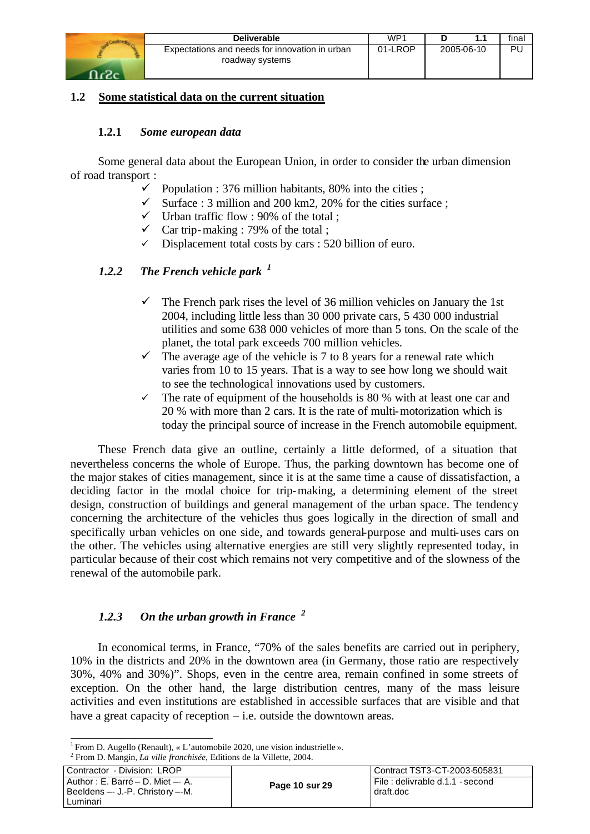

## **1.2 Some statistical data on the current situation**

#### **1.2.1** *Some european data*

Some general data about the European Union, in order to consider the urban dimension of road transport :

- $\checkmark$  Population : 376 million habitants, 80% into the cities ;
- $\checkmark$  Surface : 3 million and 200 km2, 20% for the cities surface :
- $\checkmark$  Urban traffic flow : 90% of the total ;
- $\checkmark$  Car trip-making : 79% of the total ;
- Displacement total costs by cars : 520 billion of euro.

## *1.2.2 The French vehicle park <sup>1</sup>*

- $\checkmark$  The French park rises the level of 36 million vehicles on January the 1st 2004, including little less than 30 000 private cars, 5 430 000 industrial utilities and some 638 000 vehicles of more than 5 tons. On the scale of the planet, the total park exceeds 700 million vehicles.
- $\checkmark$  The average age of the vehicle is 7 to 8 years for a renewal rate which varies from 10 to 15 years. That is a way to see how long we should wait to see the technological innovations used by customers.
- $\checkmark$  The rate of equipment of the households is 80 % with at least one car and 20 % with more than 2 cars. It is the rate of multi-motorization which is today the principal source of increase in the French automobile equipment.

These French data give an outline, certainly a little deformed, of a situation that nevertheless concerns the whole of Europe. Thus, the parking downtown has become one of the major stakes of cities management, since it is at the same time a cause of dissatisfaction, a deciding factor in the modal choice for trip-making, a determining element of the street design, construction of buildings and general management of the urban space. The tendency concerning the architecture of the vehicles thus goes logically in the direction of small and specifically urban vehicles on one side, and towards general-purpose and multi-uses cars on the other. The vehicles using alternative energies are still very slightly represented today, in particular because of their cost which remains not very competitive and of the slowness of the renewal of the automobile park.

## *1.2.3 On the urban growth in France <sup>2</sup>*

In economical terms, in France, "70% of the sales benefits are carried out in periphery, 10% in the districts and 20% in the downtown area (in Germany, those ratio are respectively 30%, 40% and 30%)". Shops, even in the centre area, remain confined in some streets of exception. On the other hand, the large distribution centres, many of the mass leisure activities and even institutions are established in accessible surfaces that are visible and that have a great capacity of reception – i.e. outside the downtown areas.

<sup>2</sup> From D. Mangin, *La ville franchisée*, Editions de la Villette, 2004.

| Contractor - Division: LROP                                                           |                | Contract TST3-CT-2003-505831                 |
|---------------------------------------------------------------------------------------|----------------|----------------------------------------------|
| l Author : E. Barré – D. Miet –- A.<br>  Beeldens -- J.-P. Christory --M.<br>Luminari | Page 10 sur 29 | File: delivrable d.1.1 - second<br>draft.doc |

 <sup>1</sup> From D. Augello (Renault), « L'automobile 2020, une vision industrielle ».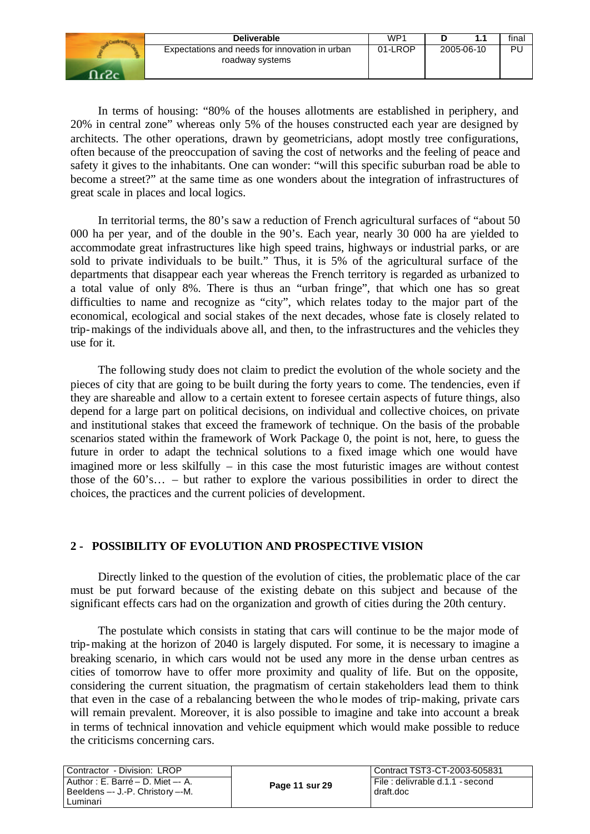| <b>Deliverable</b>                                                | WP1     |            | final |
|-------------------------------------------------------------------|---------|------------|-------|
| Expectations and needs for innovation in urban<br>roadway systems | 01-LROP | 2005-06-10 | Ρl    |

In terms of housing: "80% of the houses allotments are established in periphery, and 20% in central zone" whereas only 5% of the houses constructed each year are designed by architects. The other operations, drawn by geometricians, adopt mostly tree configurations, often because of the preoccupation of saving the cost of networks and the feeling of peace and safety it gives to the inhabitants. One can wonder: "will this specific suburban road be able to become a street?" at the same time as one wonders about the integration of infrastructures of great scale in places and local logics.

In territorial terms, the 80's saw a reduction of French agricultural surfaces of "about 50 000 ha per year, and of the double in the 90's. Each year, nearly 30 000 ha are yielded to accommodate great infrastructures like high speed trains, highways or industrial parks, or are sold to private individuals to be built." Thus, it is 5% of the agricultural surface of the departments that disappear each year whereas the French territory is regarded as urbanized to a total value of only 8%. There is thus an "urban fringe", that which one has so great difficulties to name and recognize as "city", which relates today to the major part of the economical, ecological and social stakes of the next decades, whose fate is closely related to trip-makings of the individuals above all, and then, to the infrastructures and the vehicles they use for it.

The following study does not claim to predict the evolution of the whole society and the pieces of city that are going to be built during the forty years to come. The tendencies, even if they are shareable and allow to a certain extent to foresee certain aspects of future things, also depend for a large part on political decisions, on individual and collective choices, on private and institutional stakes that exceed the framework of technique. On the basis of the probable scenarios stated within the framework of Work Package 0, the point is not, here, to guess the future in order to adapt the technical solutions to a fixed image which one would have imagined more or less skilfully – in this case the most futuristic images are without contest those of the 60's… – but rather to explore the various possibilities in order to direct the choices, the practices and the current policies of development.

## **2 - POSSIBILITY OF EVOLUTION AND PROSPECTIVE VISION**

Directly linked to the question of the evolution of cities, the problematic place of the car must be put forward because of the existing debate on this subject and because of the significant effects cars had on the organization and growth of cities during the 20th century.

The postulate which consists in stating that cars will continue to be the major mode of trip-making at the horizon of 2040 is largely disputed. For some, it is necessary to imagine a breaking scenario, in which cars would not be used any more in the dense urban centres as cities of tomorrow have to offer more proximity and quality of life. But on the opposite, considering the current situation, the pragmatism of certain stakeholders lead them to think that even in the case of a rebalancing between the whole modes of trip-making, private cars will remain prevalent. Moreover, it is also possible to imagine and take into account a break in terms of technical innovation and vehicle equipment which would make possible to reduce the criticisms concerning cars.

| Contractor - Division: LROP                                                     |                | Contract TST3-CT-2003-505831                    |  |
|---------------------------------------------------------------------------------|----------------|-------------------------------------------------|--|
| Author: E. Barré – D. Miet – A.<br>Beeldens -- J.-P. Christory --M.<br>Luminari | Page 11 sur 29 | i File : delivrable d.1.1 - second<br>draft.doc |  |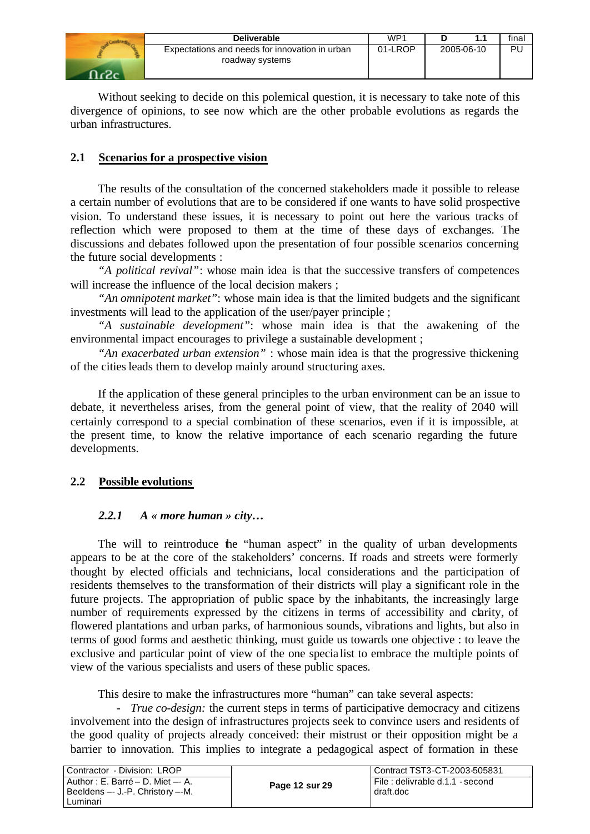| <b>Deliverable</b>                                                | WP <sup>1</sup> |            | final |
|-------------------------------------------------------------------|-----------------|------------|-------|
| Expectations and needs for innovation in urban<br>roadway systems | 01-LROP         | 2005-06-10 | Ρl    |

Without seeking to decide on this polemical question, it is necessary to take note of this divergence of opinions, to see now which are the other probable evolutions as regards the urban infrastructures.

## **2.1 Scenarios for a prospective vision**

The results of the consultation of the concerned stakeholders made it possible to release a certain number of evolutions that are to be considered if one wants to have solid prospective vision. To understand these issues, it is necessary to point out here the various tracks of reflection which were proposed to them at the time of these days of exchanges. The discussions and debates followed upon the presentation of four possible scenarios concerning the future social developments :

*"A political revival"*: whose main idea is that the successive transfers of competences will increase the influence of the local decision makers ;

*"An omnipotent market"*: whose main idea is that the limited budgets and the significant investments will lead to the application of the user/payer principle ;

*"A sustainable development"*: whose main idea is that the awakening of the environmental impact encourages to privilege a sustainable development ;

*"An exacerbated urban extension"* : whose main idea is that the progressive thickening of the cities leads them to develop mainly around structuring axes.

If the application of these general principles to the urban environment can be an issue to debate, it nevertheless arises, from the general point of view, that the reality of 2040 will certainly correspond to a special combination of these scenarios, even if it is impossible, at the present time, to know the relative importance of each scenario regarding the future developments.

## **2.2 Possible evolutions**

## *2.2.1 A « more human » city…*

The will to reintroduce the "human aspect" in the quality of urban developments appears to be at the core of the stakeholders' concerns. If roads and streets were formerly thought by elected officials and technicians, local considerations and the participation of residents themselves to the transformation of their districts will play a significant role in the future projects. The appropriation of public space by the inhabitants, the increasingly large number of requirements expressed by the citizens in terms of accessibility and clarity, of flowered plantations and urban parks, of harmonious sounds, vibrations and lights, but also in terms of good forms and aesthetic thinking, must guide us towards one objective : to leave the exclusive and particular point of view of the one specia list to embrace the multiple points of view of the various specialists and users of these public spaces.

This desire to make the infrastructures more "human" can take several aspects:

- *True co-design:* the current steps in terms of participative democracy and citizens involvement into the design of infrastructures projects seek to convince users and residents of the good quality of projects already conceived: their mistrust or their opposition might be a barrier to innovation. This implies to integrate a pedagogical aspect of formation in these

| Contractor - Division: LROP                                                        |                | Contract TST3-CT-2003-505831                  |  |
|------------------------------------------------------------------------------------|----------------|-----------------------------------------------|--|
| Author: E. Barré – D. Miet –- A.<br>! Beeldens -- J.-P. Christory --M.<br>∟uminari | Page 12 sur 29 | File : delivrable d.1.1 - second<br>draft.doc |  |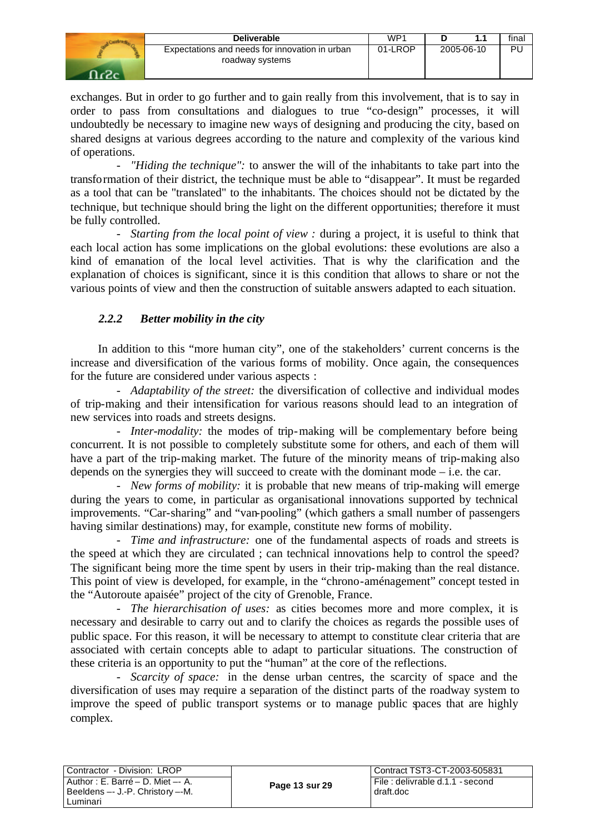| <b>Deliverable</b>                                                | WP1     |            | final |
|-------------------------------------------------------------------|---------|------------|-------|
| Expectations and needs for innovation in urban<br>roadway systems | 01-LROP | 2005-06-10 | PL    |

exchanges. But in order to go further and to gain really from this involvement, that is to say in order to pass from consultations and dialogues to true "co-design" processes, it will undoubtedly be necessary to imagine new ways of designing and producing the city, based on shared designs at various degrees according to the nature and complexity of the various kind of operations.

*"Hiding the technique"*: to answer the will of the inhabitants to take part into the transformation of their district, the technique must be able to "disappear". It must be regarded as a tool that can be "translated" to the inhabitants. The choices should not be dictated by the technique, but technique should bring the light on the different opportunities; therefore it must be fully controlled.

- *Starting from the local point of view :* during a project, it is useful to think that each local action has some implications on the global evolutions: these evolutions are also a kind of emanation of the local level activities. That is why the clarification and the explanation of choices is significant, since it is this condition that allows to share or not the various points of view and then the construction of suitable answers adapted to each situation.

## *2.2.2 Better mobility in the city*

In addition to this "more human city", one of the stakeholders' current concerns is the increase and diversification of the various forms of mobility. Once again, the consequences for the future are considered under various aspects :

- *Adaptability of the street:* the diversification of collective and individual modes of trip-making and their intensification for various reasons should lead to an integration of new services into roads and streets designs.

- *Inter-modality:* the modes of trip-making will be complementary before being concurrent. It is not possible to completely substitute some for others, and each of them will have a part of the trip-making market. The future of the minority means of trip-making also depends on the synergies they will succeed to create with the dominant mode – i.e. the car.

- *New forms of mobility:* it is probable that new means of trip-making will emerge during the years to come, in particular as organisational innovations supported by technical improvements. "Car-sharing" and "van-pooling" (which gathers a small number of passengers having similar destinations) may, for example, constitute new forms of mobility.

- *Time and infrastructure:* one of the fundamental aspects of roads and streets is the speed at which they are circulated ; can technical innovations help to control the speed? The significant being more the time spent by users in their trip-making than the real distance. This point of view is developed, for example, in the "chrono-aménagement" concept tested in the "Autoroute apaisée" project of the city of Grenoble, France.

- *The hierarchisation of uses:* as cities becomes more and more complex, it is necessary and desirable to carry out and to clarify the choices as regards the possible uses of public space. For this reason, it will be necessary to attempt to constitute clear criteria that are associated with certain concepts able to adapt to particular situations. The construction of these criteria is an opportunity to put the "human" at the core of the reflections.

*Scarcity of space:* in the dense urban centres, the scarcity of space and the diversification of uses may require a separation of the distinct parts of the roadway system to improve the speed of public transport systems or to manage public spaces that are highly complex.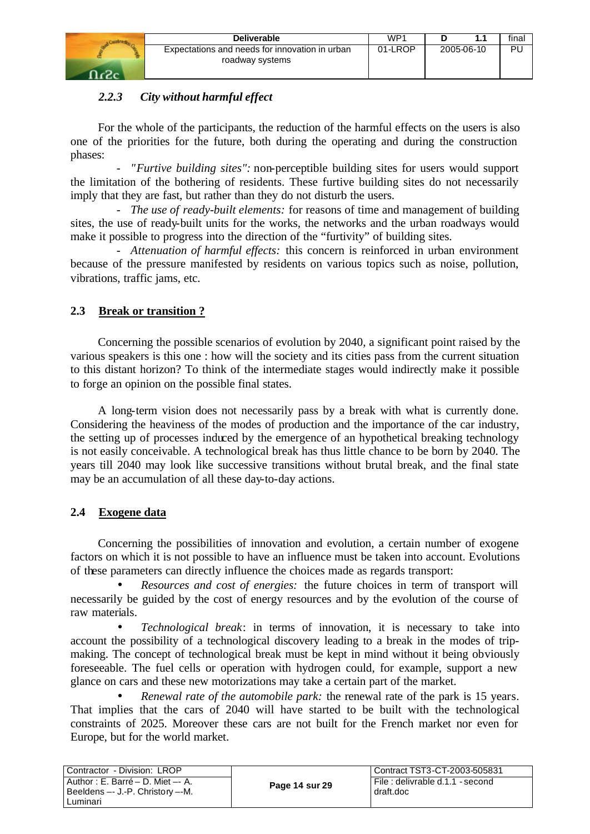

## *2.2.3 City without harmful effect*

For the whole of the participants, the reduction of the harmful effects on the users is also one of the priorities for the future, both during the operating and during the construction phases:

- *"Furtive building sites":* non-perceptible building sites for users would support the limitation of the bothering of residents. These furtive building sites do not necessarily imply that they are fast, but rather than they do not disturb the users.

*The use of ready-built elements:* for reasons of time and management of building sites, the use of ready-built units for the works, the networks and the urban roadways would make it possible to progress into the direction of the "furtivity" of building sites.

- *Attenuation of harmful effects:* this concern is reinforced in urban environment because of the pressure manifested by residents on various topics such as noise, pollution, vibrations, traffic jams, etc.

## **2.3 Break or transition ?**

Concerning the possible scenarios of evolution by 2040, a significant point raised by the various speakers is this one : how will the society and its cities pass from the current situation to this distant horizon? To think of the intermediate stages would indirectly make it possible to forge an opinion on the possible final states.

A long-term vision does not necessarily pass by a break with what is currently done. Considering the heaviness of the modes of production and the importance of the car industry, the setting up of processes induced by the emergence of an hypothetical breaking technology is not easily conceivable. A technological break has thus little chance to be born by 2040. The years till 2040 may look like successive transitions without brutal break, and the final state may be an accumulation of all these day-to-day actions.

## **2.4 Exogene data**

Concerning the possibilities of innovation and evolution, a certain number of exogene factors on which it is not possible to have an influence must be taken into account. Evolutions of these parameters can directly influence the choices made as regards transport:

• *Resources and cost of energies:* the future choices in term of transport will necessarily be guided by the cost of energy resources and by the evolution of the course of raw materials.

• *Technological break*: in terms of innovation, it is necessary to take into account the possibility of a technological discovery leading to a break in the modes of tripmaking. The concept of technological break must be kept in mind without it being obviously foreseeable. The fuel cells or operation with hydrogen could, for example, support a new glance on cars and these new motorizations may take a certain part of the market.

• *Renewal rate of the automobile park:* the renewal rate of the park is 15 years. That implies that the cars of 2040 will have started to be built with the technological constraints of 2025. Moreover these cars are not built for the French market nor even for Europe, but for the world market.

| Contractor - Division: LROP                                           |                | Contract TST3-CT-2003-505831                 |
|-----------------------------------------------------------------------|----------------|----------------------------------------------|
| Author : E. Barré – D. Miet –- A.<br>Beeldens -- J.-P. Christory --M. | Page 14 sur 29 | File: delivrable d.1.1 - second<br>draft.doc |
| Luminari                                                              |                |                                              |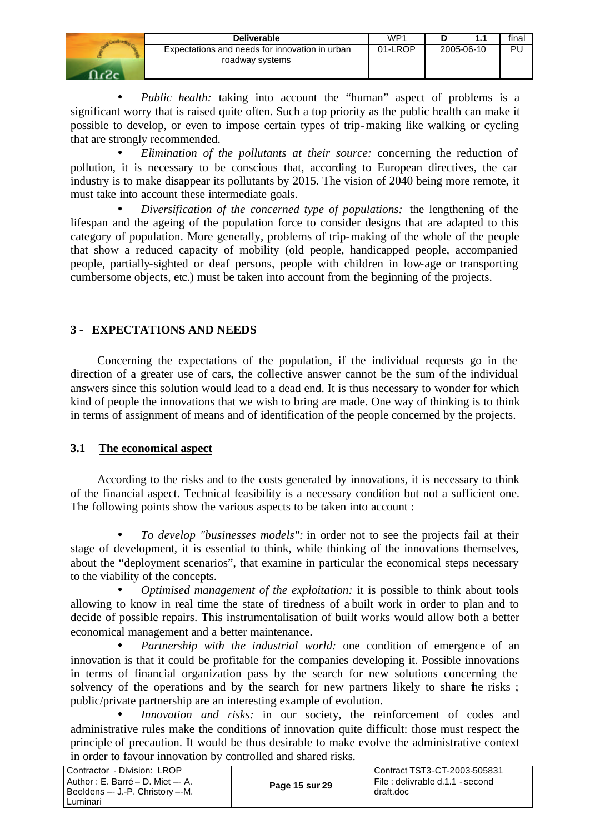| <b>Deliverable</b>                                                | WP1     |            | final |
|-------------------------------------------------------------------|---------|------------|-------|
| Expectations and needs for innovation in urban<br>roadway systems | 01-LROP | 2005-06-10 | PL    |

• *Public health:* taking into account the "human" aspect of problems is a significant worry that is raised quite often. Such a top priority as the public health can make it possible to develop, or even to impose certain types of trip-making like walking or cycling that are strongly recommended.

• *Elimination of the pollutants at their source:* concerning the reduction of pollution, it is necessary to be conscious that, according to European directives, the car industry is to make disappear its pollutants by 2015. The vision of 2040 being more remote, it must take into account these intermediate goals.

• *Diversification of the concerned type of populations:* the lengthening of the lifespan and the ageing of the population force to consider designs that are adapted to this category of population. More generally, problems of trip-making of the whole of the people that show a reduced capacity of mobility (old people, handicapped people, accompanied people, partially-sighted or deaf persons, people with children in low-age or transporting cumbersome objects, etc.) must be taken into account from the beginning of the projects.

## **3 - EXPECTATIONS AND NEEDS**

Concerning the expectations of the population, if the individual requests go in the direction of a greater use of cars, the collective answer cannot be the sum of the individual answers since this solution would lead to a dead end. It is thus necessary to wonder for which kind of people the innovations that we wish to bring are made. One way of thinking is to think in terms of assignment of means and of identification of the people concerned by the projects.

## **3.1 The economical aspect**

According to the risks and to the costs generated by innovations, it is necessary to think of the financial aspect. Technical feasibility is a necessary condition but not a sufficient one. The following points show the various aspects to be taken into account :

• *To develop "businesses models":* in order not to see the projects fail at their stage of development, it is essential to think, while thinking of the innovations themselves, about the "deployment scenarios", that examine in particular the economical steps necessary to the viability of the concepts.

• *Optimised management of the exploitation:* it is possible to think about tools allowing to know in real time the state of tiredness of a built work in order to plan and to decide of possible repairs. This instrumentalisation of built works would allow both a better economical management and a better maintenance.

• *Partnership with the industrial world:* one condition of emergence of an innovation is that it could be profitable for the companies developing it. Possible innovations in terms of financial organization pass by the search for new solutions concerning the solvency of the operations and by the search for new partners likely to share the risks; public/private partnership are an interesting example of evolution.

• *Innovation and risks:* in our society, the reinforcement of codes and administrative rules make the conditions of innovation quite difficult: those must respect the principle of precaution. It would be thus desirable to make evolve the administrative context in order to favour innovation by controlled and shared risks.

| Contractor - Division: LROP                                                       |                | l Contract TST3-CT-2003-505831                |
|-----------------------------------------------------------------------------------|----------------|-----------------------------------------------|
| Author : E. Barré – D. Miet –- A.<br>Beeldens -- J.-P. Christory --M.<br>Luminari | Page 15 sur 29 | File : delivrable d.1.1 - second<br>draft.doc |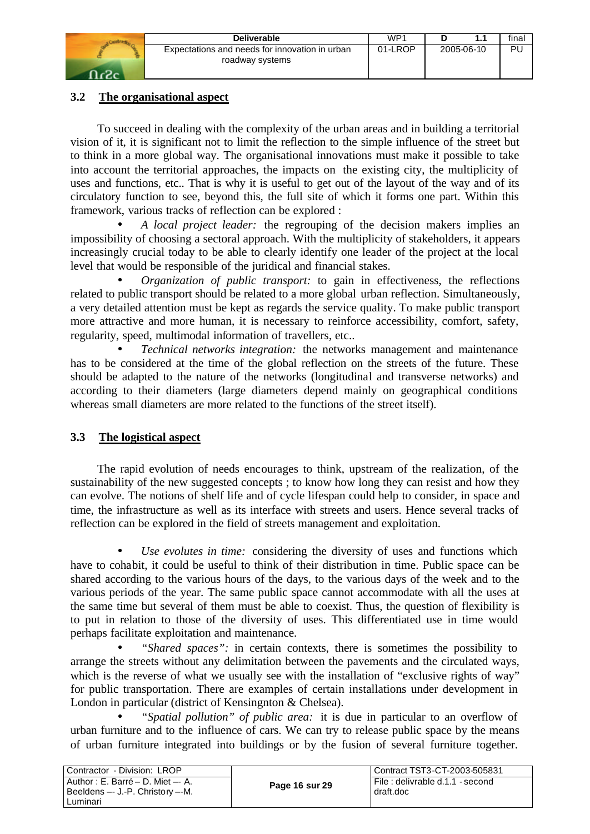| <b>Deliverable</b>                                                | WP'     |            | final |
|-------------------------------------------------------------------|---------|------------|-------|
| Expectations and needs for innovation in urban<br>roadway systems | 01-LROP | 2005-06-10 | PU    |
|                                                                   |         |            |       |

## **3.2 The organisational aspect**

To succeed in dealing with the complexity of the urban areas and in building a territorial vision of it, it is significant not to limit the reflection to the simple influence of the street but to think in a more global way. The organisational innovations must make it possible to take into account the territorial approaches, the impacts on the existing city, the multiplicity of uses and functions, etc.. That is why it is useful to get out of the layout of the way and of its circulatory function to see, beyond this, the full site of which it forms one part. Within this framework, various tracks of reflection can be explored :

• *A local project leader:* the regrouping of the decision makers implies an impossibility of choosing a sectoral approach. With the multiplicity of stakeholders, it appears increasingly crucial today to be able to clearly identify one leader of the project at the local level that would be responsible of the juridical and financial stakes.

• *Organization of public transport:* to gain in effectiveness, the reflections related to public transport should be related to a more global urban reflection. Simultaneously, a very detailed attention must be kept as regards the service quality. To make public transport more attractive and more human, it is necessary to reinforce accessibility, comfort, safety, regularity, speed, multimodal information of travellers, etc..

• *Technical networks integration:* the networks management and maintenance has to be considered at the time of the global reflection on the streets of the future. These should be adapted to the nature of the networks (longitudinal and transverse networks) and according to their diameters (large diameters depend mainly on geographical conditions whereas small diameters are more related to the functions of the street itself).

## **3.3 The logistical aspect**

The rapid evolution of needs encourages to think, upstream of the realization, of the sustainability of the new suggested concepts ; to know how long they can resist and how they can evolve. The notions of shelf life and of cycle lifespan could help to consider, in space and time, the infrastructure as well as its interface with streets and users. Hence several tracks of reflection can be explored in the field of streets management and exploitation.

• *Use evolutes in time:* considering the diversity of uses and functions which have to cohabit, it could be useful to think of their distribution in time. Public space can be shared according to the various hours of the days, to the various days of the week and to the various periods of the year. The same public space cannot accommodate with all the uses at the same time but several of them must be able to coexist. Thus, the question of flexibility is to put in relation to those of the diversity of uses. This differentiated use in time would perhaps facilitate exploitation and maintenance.

• *"Shared spaces":* in certain contexts, there is sometimes the possibility to arrange the streets without any delimitation between the pavements and the circulated ways, which is the reverse of what we usually see with the installation of "exclusive rights of way" for public transportation. There are examples of certain installations under development in London in particular (district of Kensingnton & Chelsea).

• *"Spatial pollution" of public area:* it is due in particular to an overflow of urban furniture and to the influence of cars. We can try to release public space by the means of urban furniture integrated into buildings or by the fusion of several furniture together.

| l Contractor - Division: LROP                                                         |                | Contract TST3-CT-2003-505831                 |
|---------------------------------------------------------------------------------------|----------------|----------------------------------------------|
| l Author : E. Barré – D. Miet –- A.<br>  Beeldens -- J.-P. Christory --M.<br>Luminari | Page 16 sur 29 | File: delivrable d.1.1 - second<br>draft.doc |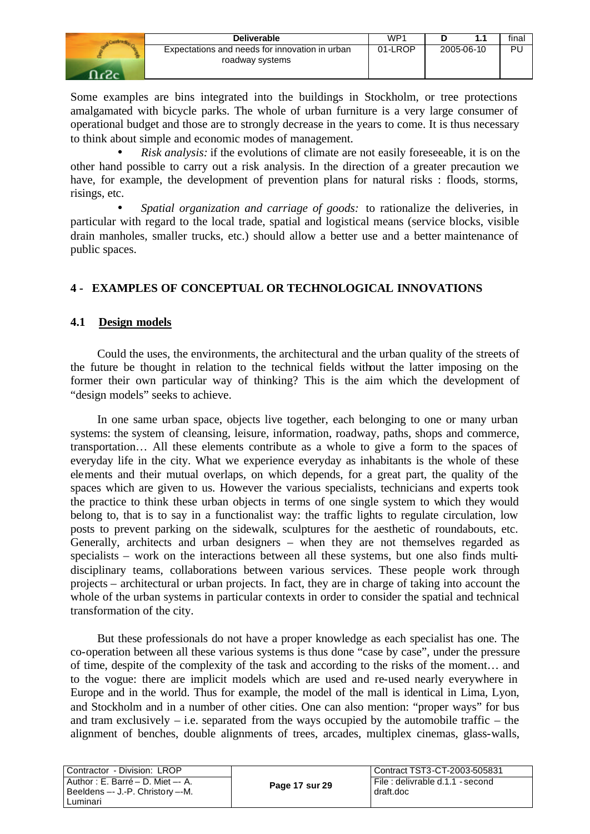| <b>Deliverable</b>                                                | WP <sup>1</sup> |            | final |
|-------------------------------------------------------------------|-----------------|------------|-------|
| Expectations and needs for innovation in urban<br>roadway systems | 01-LROP         | 2005-06-10 | Pι    |

Some examples are bins integrated into the buildings in Stockholm, or tree protections amalgamated with bicycle parks. The whole of urban furniture is a very large consumer of operational budget and those are to strongly decrease in the years to come. It is thus necessary to think about simple and economic modes of management.

• *Risk analysis:* if the evolutions of climate are not easily foreseeable, it is on the other hand possible to carry out a risk analysis. In the direction of a greater precaution we have, for example, the development of prevention plans for natural risks : floods, storms, risings, etc.

• *Spatial organization and carriage of goods:* to rationalize the deliveries, in particular with regard to the local trade, spatial and logistical means (service blocks, visible drain manholes, smaller trucks, etc.) should allow a better use and a better maintenance of public spaces.

## **4 - EXAMPLES OF CONCEPTUAL OR TECHNOLOGICAL INNOVATIONS**

## **4.1 Design models**

Could the uses, the environments, the architectural and the urban quality of the streets of the future be thought in relation to the technical fields without the latter imposing on the former their own particular way of thinking? This is the aim which the development of "design models" seeks to achieve.

In one same urban space, objects live together, each belonging to one or many urban systems: the system of cleansing, leisure, information, roadway, paths, shops and commerce, transportation… All these elements contribute as a whole to give a form to the spaces of everyday life in the city. What we experience everyday as inhabitants is the whole of these elements and their mutual overlaps, on which depends, for a great part, the quality of the spaces which are given to us. However the various specialists, technicians and experts took the practice to think these urban objects in terms of one single system to which they would belong to, that is to say in a functionalist way: the traffic lights to regulate circulation, low posts to prevent parking on the sidewalk, sculptures for the aesthetic of roundabouts, etc. Generally, architects and urban designers – when they are not themselves regarded as specialists – work on the interactions between all these systems, but one also finds multidisciplinary teams, collaborations between various services. These people work through projects – architectural or urban projects. In fact, they are in charge of taking into account the whole of the urban systems in particular contexts in order to consider the spatial and technical transformation of the city.

But these professionals do not have a proper knowledge as each specialist has one. The co-operation between all these various systems is thus done "case by case", under the pressure of time, despite of the complexity of the task and according to the risks of the moment… and to the vogue: there are implicit models which are used and re-used nearly everywhere in Europe and in the world. Thus for example, the model of the mall is identical in Lima, Lyon, and Stockholm and in a number of other cities. One can also mention: "proper ways" for bus and tram exclusively – i.e. separated from the ways occupied by the automobile traffic – the alignment of benches, double alignments of trees, arcades, multiplex cinemas, glass-walls,

| Contractor - Division: LROP                                                      |                | Contract TST3-CT-2003-505831                    |
|----------------------------------------------------------------------------------|----------------|-------------------------------------------------|
| Author: E. Barré – D. Miet –- A.<br>Beeldens -- J.-P. Christory --M.<br>Luminari | Page 17 sur 29 | l File : delivrable d.1.1 - second<br>draft.doc |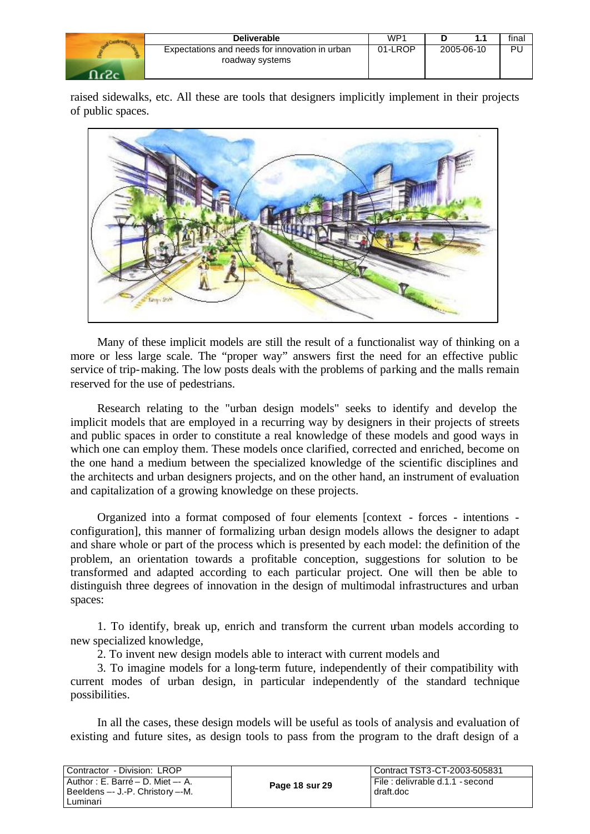| Deliverable                                                       | WP1     | .          | final |
|-------------------------------------------------------------------|---------|------------|-------|
| Expectations and needs for innovation in urban<br>roadway systems | 01-LROP | 2005-06-10 | PL    |

raised sidewalks, etc. All these are tools that designers implicitly implement in their projects of public spaces.



Many of these implicit models are still the result of a functionalist way of thinking on a more or less large scale. The "proper way" answers first the need for an effective public service of trip-making. The low posts deals with the problems of parking and the malls remain reserved for the use of pedestrians.

Research relating to the "urban design models" seeks to identify and develop the implicit models that are employed in a recurring way by designers in their projects of streets and public spaces in order to constitute a real knowledge of these models and good ways in which one can employ them. These models once clarified, corrected and enriched, become on the one hand a medium between the specialized knowledge of the scientific disciplines and the architects and urban designers projects, and on the other hand, an instrument of evaluation and capitalization of a growing knowledge on these projects.

Organized into a format composed of four elements [context - forces - intentions configuration], this manner of formalizing urban design models allows the designer to adapt and share whole or part of the process which is presented by each model: the definition of the problem, an orientation towards a profitable conception, suggestions for solution to be transformed and adapted according to each particular project. One will then be able to distinguish three degrees of innovation in the design of multimodal infrastructures and urban spaces:

1. To identify, break up, enrich and transform the current urban models according to new specialized knowledge,

2. To invent new design models able to interact with current models and

3. To imagine models for a long-term future, independently of their compatibility with current modes of urban design, in particular independently of the standard technique possibilities.

In all the cases, these design models will be useful as tools of analysis and evaluation of existing and future sites, as design tools to pass from the program to the draft design of a

| Contractor - Division: LROP                                                         |                | Contract TST3-CT-2003-505831                    |
|-------------------------------------------------------------------------------------|----------------|-------------------------------------------------|
| Author : E. Barré – D. Miet –- A.<br>Beeldens -- J.-P. Christory --M.<br>l Luminari | Page 18 sur 29 | l File : delivrable d.1.1 - second<br>draft.doc |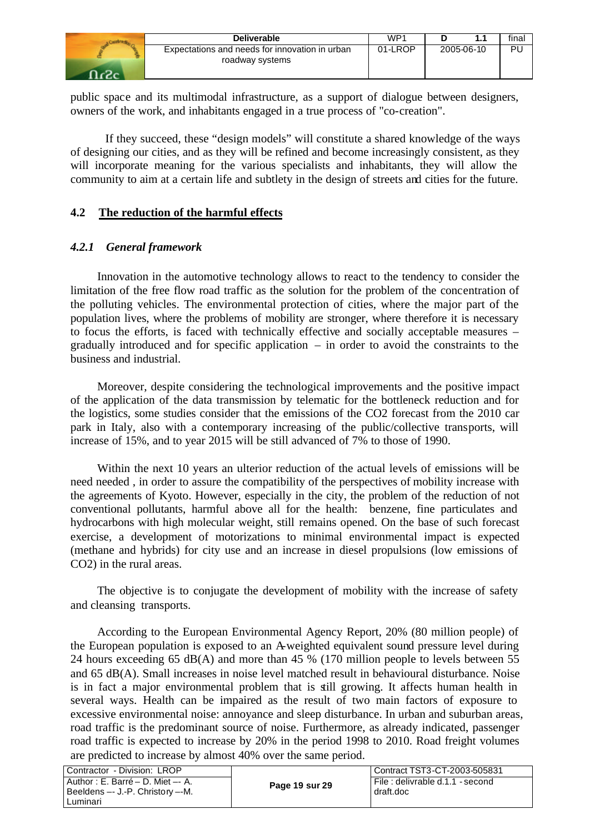| <b>Deliverable</b>                                                | WP <sub>1</sub> |            | final |
|-------------------------------------------------------------------|-----------------|------------|-------|
| Expectations and needs for innovation in urban<br>roadway systems | 01-LROP         | 2005-06-10 | Ρl    |
|                                                                   |                 |            |       |

public space and its multimodal infrastructure, as a support of dialogue between designers, owners of the work, and inhabitants engaged in a true process of "co-creation".

If they succeed, these "design models" will constitute a shared knowledge of the ways of designing our cities, and as they will be refined and become increasingly consistent, as they will incorporate meaning for the various specialists and inhabitants, they will allow the community to aim at a certain life and subtlety in the design of streets and cities for the future.

## **4.2 The reduction of the harmful effects**

## *4.2.1 General framework*

Innovation in the automotive technology allows to react to the tendency to consider the limitation of the free flow road traffic as the solution for the problem of the concentration of the polluting vehicles. The environmental protection of cities, where the major part of the population lives, where the problems of mobility are stronger, where therefore it is necessary to focus the efforts, is faced with technically effective and socially acceptable measures – gradually introduced and for specific application – in order to avoid the constraints to the business and industrial.

Moreover, despite considering the technological improvements and the positive impact of the application of the data transmission by telematic for the bottleneck reduction and for the logistics, some studies consider that the emissions of the CO2 forecast from the 2010 car park in Italy, also with a contemporary increasing of the public/collective transports, will increase of 15%, and to year 2015 will be still advanced of 7% to those of 1990.

Within the next 10 years an ulterior reduction of the actual levels of emissions will be need needed , in order to assure the compatibility of the perspectives of mobility increase with the agreements of Kyoto. However, especially in the city, the problem of the reduction of not conventional pollutants, harmful above all for the health: benzene, fine particulates and hydrocarbons with high molecular weight, still remains opened. On the base of such forecast exercise, a development of motorizations to minimal environmental impact is expected (methane and hybrids) for city use and an increase in diesel propulsions (low emissions of CO2) in the rural areas.

The objective is to conjugate the development of mobility with the increase of safety and cleansing transports.

According to the European Environmental Agency Report, 20% (80 million people) of the European population is exposed to an A-weighted equivalent sound pressure level during 24 hours exceeding 65 dB(A) and more than 45 % (170 million people to levels between 55 and 65 dB(A). Small increases in noise level matched result in behavioural disturbance. Noise is in fact a major environmental problem that is still growing. It affects human health in several ways. Health can be impaired as the result of two main factors of exposure to excessive environmental noise: annoyance and sleep disturbance. In urban and suburban areas, road traffic is the predominant source of noise. Furthermore, as already indicated, passenger road traffic is expected to increase by 20% in the period 1998 to 2010. Road freight volumes are predicted to increase by almost 40% over the same period.

| l Contractor - Division: LROP                                                                   |                | LContract TST3-CT-2003-505831                |
|-------------------------------------------------------------------------------------------------|----------------|----------------------------------------------|
| l Author : E. Barré – D. Miet –- A.<br>l Beeldens --- J.-P. Christo <i>r</i> v --M.<br>Luminari | Page 19 sur 29 | File: delivrable d.1.1 - second<br>draft.doc |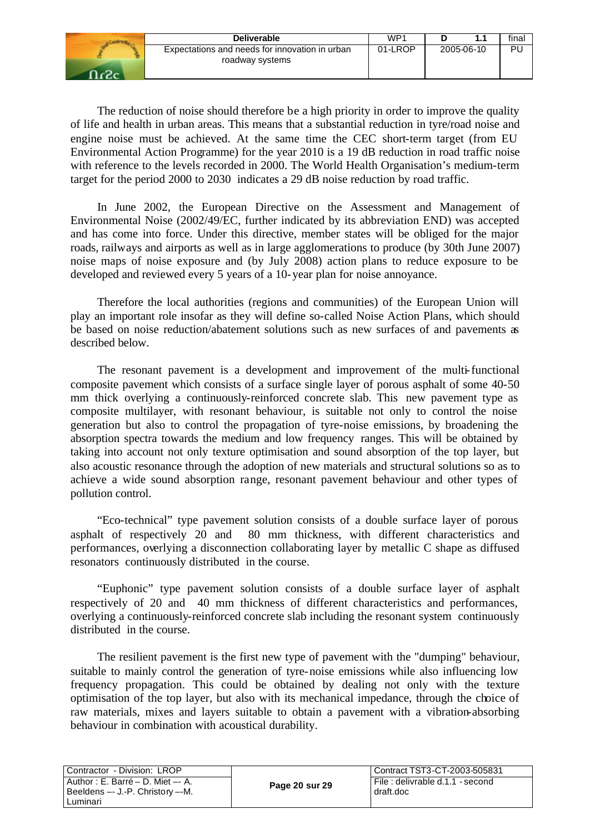| Deliverable                                                       | WP1     |            | final |
|-------------------------------------------------------------------|---------|------------|-------|
| Expectations and needs for innovation in urban<br>roadway systems | 01-LROP | 2005-06-10 | Ρl    |

The reduction of noise should therefore be a high priority in order to improve the quality of life and health in urban areas. This means that a substantial reduction in tyre/road noise and engine noise must be achieved. At the same time the CEC short-term target (from EU Environmental Action Programme) for the year 2010 is a 19 dB reduction in road traffic noise with reference to the levels recorded in 2000. The World Health Organisation's medium-term target for the period 2000 to 2030 indicates a 29 dB noise reduction by road traffic.

In June 2002, the European Directive on the Assessment and Management of Environmental Noise (2002/49/EC, further indicated by its abbreviation END) was accepted and has come into force. Under this directive, member states will be obliged for the major roads, railways and airports as well as in large agglomerations to produce (by 30th June 2007) noise maps of noise exposure and (by July 2008) action plans to reduce exposure to be developed and reviewed every 5 years of a 10-year plan for noise annoyance.

Therefore the local authorities (regions and communities) of the European Union will play an important role insofar as they will define so-called Noise Action Plans, which should be based on noise reduction/abatement solutions such as new surfaces of and pavements as described below.

The resonant pavement is a development and improvement of the multi-functional composite pavement which consists of a surface single layer of porous asphalt of some 40-50 mm thick overlying a continuously-reinforced concrete slab. This new pavement type as composite multilayer, with resonant behaviour, is suitable not only to control the noise generation but also to control the propagation of tyre-noise emissions, by broadening the absorption spectra towards the medium and low frequency ranges. This will be obtained by taking into account not only texture optimisation and sound absorption of the top layer, but also acoustic resonance through the adoption of new materials and structural solutions so as to achieve a wide sound absorption range, resonant pavement behaviour and other types of pollution control.

"Eco-technical" type pavement solution consists of a double surface layer of porous asphalt of respectively 20 and 80 mm thickness, with different characteristics and performances, overlying a disconnection collaborating layer by metallic C shape as diffused resonators continuously distributed in the course.

"Euphonic" type pavement solution consists of a double surface layer of asphalt respectively of 20 and 40 mm thickness of different characteristics and performances, overlying a continuously-reinforced concrete slab including the resonant system continuously distributed in the course.

The resilient pavement is the first new type of pavement with the "dumping" behaviour, suitable to mainly control the generation of tyre-noise emissions while also influencing low frequency propagation. This could be obtained by dealing not only with the texture optimisation of the top layer, but also with its mechanical impedance, through the choice of raw materials, mixes and layers suitable to obtain a pavement with a vibration-absorbing behaviour in combination with acoustical durability.

| Contractor - Division: LROP                                           |                | Contract TST3-CT-2003-505831                    |  |  |
|-----------------------------------------------------------------------|----------------|-------------------------------------------------|--|--|
| Author : E. Barré – D. Miet –- A.<br>Beeldens -- J.-P. Christory --M. | Page 20 sur 29 | l File : delivrable d.1.1 - second<br>draft.doc |  |  |
| Luminari                                                              |                |                                                 |  |  |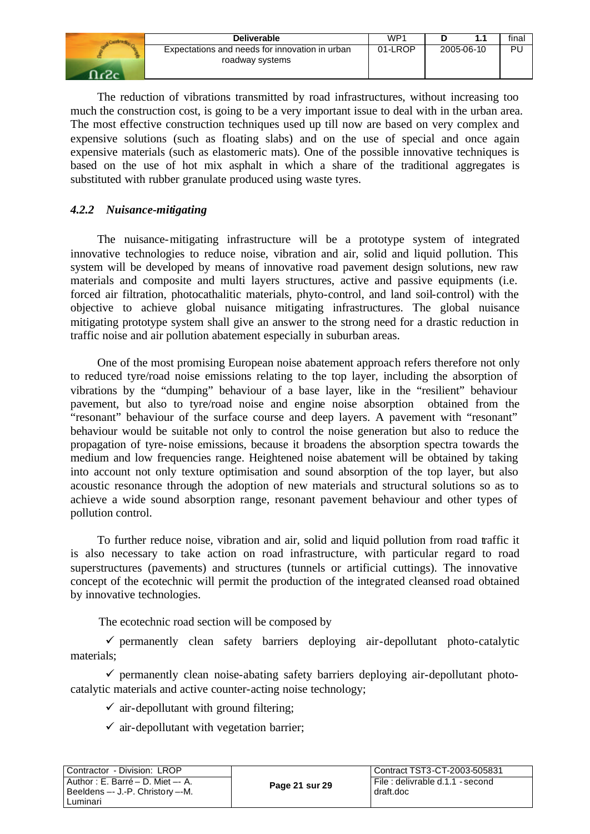| <b>Deliverable</b>                                                | WP1     |            | final |
|-------------------------------------------------------------------|---------|------------|-------|
| Expectations and needs for innovation in urban<br>roadway systems | 01-LROP | 2005-06-10 | Ρl    |

The reduction of vibrations transmitted by road infrastructures, without increasing too much the construction cost, is going to be a very important issue to deal with in the urban area. The most effective construction techniques used up till now are based on very complex and expensive solutions (such as floating slabs) and on the use of special and once again expensive materials (such as elastomeric mats). One of the possible innovative techniques is based on the use of hot mix asphalt in which a share of the traditional aggregates is substituted with rubber granulate produced using waste tyres.

## *4.2.2 Nuisance-mitigating*

The nuisance-mitigating infrastructure will be a prototype system of integrated innovative technologies to reduce noise, vibration and air, solid and liquid pollution. This system will be developed by means of innovative road pavement design solutions, new raw materials and composite and multi layers structures, active and passive equipments (i.e. forced air filtration, photocathalitic materials, phyto-control, and land soil-control) with the objective to achieve global nuisance mitigating infrastructures. The global nuisance mitigating prototype system shall give an answer to the strong need for a drastic reduction in traffic noise and air pollution abatement especially in suburban areas.

One of the most promising European noise abatement approach refers therefore not only to reduced tyre/road noise emissions relating to the top layer, including the absorption of vibrations by the "dumping" behaviour of a base layer, like in the "resilient" behaviour pavement, but also to tyre/road noise and engine noise absorption obtained from the "resonant" behaviour of the surface course and deep layers. A pavement with "resonant" behaviour would be suitable not only to control the noise generation but also to reduce the propagation of tyre-noise emissions, because it broadens the absorption spectra towards the medium and low frequencies range. Heightened noise abatement will be obtained by taking into account not only texture optimisation and sound absorption of the top layer, but also acoustic resonance through the adoption of new materials and structural solutions so as to achieve a wide sound absorption range, resonant pavement behaviour and other types of pollution control.

To further reduce noise, vibration and air, solid and liquid pollution from road traffic it is also necessary to take action on road infrastructure, with particular regard to road superstructures (pavements) and structures (tunnels or artificial cuttings). The innovative concept of the ecotechnic will permit the production of the integrated cleansed road obtained by innovative technologies.

The ecotechnic road section will be composed by

 $\checkmark$  permanently clean safety barriers deploying air-depollutant photo-catalytic materials;

 $\checkmark$  permanently clean noise-abating safety barriers deploying air-depollutant photocatalytic materials and active counter-acting noise technology;

 $\checkmark$  air-depollutant with ground filtering;

 $\checkmark$  air-depollutant with vegetation barrier;

| l Contractor - Division: LROP                                             |                | Contract TST3-CT-2003-505831                  |  |  |
|---------------------------------------------------------------------------|----------------|-----------------------------------------------|--|--|
| l Author : E. Barré – D. Miet –- A.<br>  Beeldens -- J.-P. Christory --M. | Page 21 sur 29 | File : delivrable d.1.1 - second<br>draft.doc |  |  |
| Luminari                                                                  |                |                                               |  |  |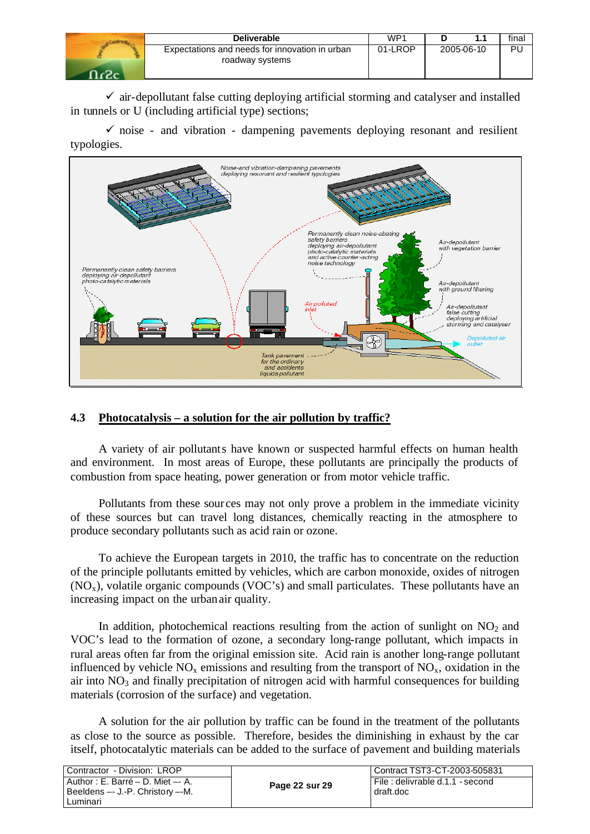| <b>Deliverable</b>                                                | WP1     |            | final |
|-------------------------------------------------------------------|---------|------------|-------|
| Expectations and needs for innovation in urban<br>roadway systems | 01-LROP | 2005-06-10 | PU    |

 $\checkmark$  air-depollutant false cutting deploying artificial storming and catalyser and installed in tunnels or U (including artificial type) sections;

 $\checkmark$  noise - and vibration - dampening pavements deploying resonant and resilient typologies.



## **4.3 Photocatalysis – a solution for the air pollution by traffic?**

A variety of air pollutants have known or suspected harmful effects on human health and environment. In most areas of Europe, these pollutants are principally the products of combustion from space heating, power generation or from motor vehicle traffic.

Pollutants from these sour ces may not only prove a problem in the immediate vicinity of these sources but can travel long distances, chemically reacting in the atmosphere to produce secondary pollutants such as acid rain or ozone.

To achieve the European targets in 2010, the traffic has to concentrate on the reduction of the principle pollutants emitted by vehicles, which are carbon monoxide, oxides of nitrogen  $(NO<sub>x</sub>)$ , volatile organic compounds  $(VOC's)$  and small particulates. These pollutants have an increasing impact on the urban air quality.

In addition, photochemical reactions resulting from the action of sunlight on  $NO<sub>2</sub>$  and VOC's lead to the formation of ozone, a secondary long-range pollutant, which impacts in rural areas often far from the original emission site. Acid rain is another long-range pollutant influenced by vehicle  $NO<sub>x</sub>$  emissions and resulting from the transport of  $NO<sub>x</sub>$ , oxidation in the air into  $NO<sub>3</sub>$  and finally precipitation of nitrogen acid with harmful consequences for building materials (corrosion of the surface) and vegetation.

A solution for the air pollution by traffic can be found in the treatment of the pollutants as close to the source as possible. Therefore, besides the diminishing in exhaust by the car itself, photocatalytic materials can be added to the surface of pavement and building materials

| Contractor - Division: LROP                                                        |                | Contract TST3-CT-2003-505831                    |
|------------------------------------------------------------------------------------|----------------|-------------------------------------------------|
| Author: E. Barré – D. Miet –- A.<br>Beeldens -- J.-P. Christory --M.<br>l Luminari | Page 22 sur 29 | I File : delivrable d.1.1 - second<br>draft.doc |
|                                                                                    |                |                                                 |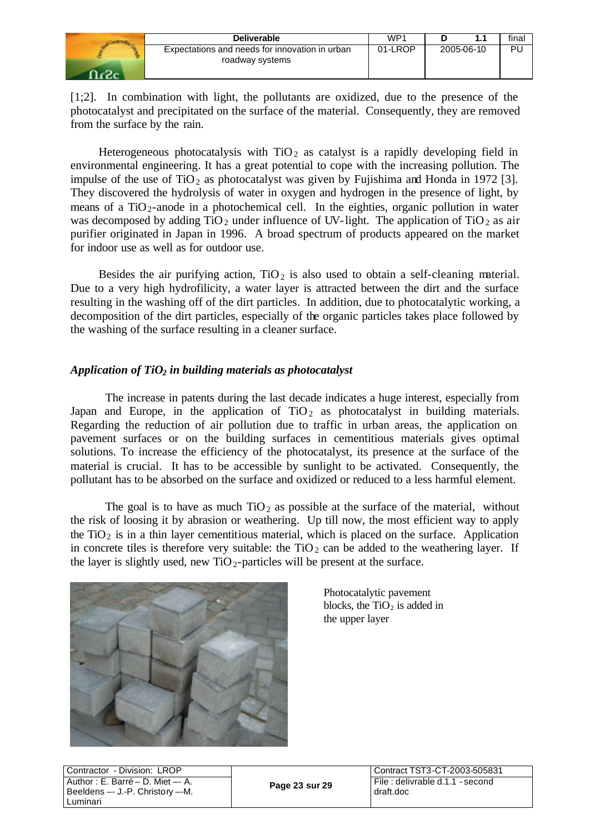| Deliverable                                                       | WP1     |            | final |
|-------------------------------------------------------------------|---------|------------|-------|
| Expectations and needs for innovation in urban<br>roadway systems | 01-LROP | 2005-06-10 | Ρl    |

[1;2]. In combination with light, the pollutants are oxidized, due to the presence of the photocatalyst and precipitated on the surface of the material. Consequently, they are removed from the surface by the rain.

Heterogeneous photocatalysis with  $TiO<sub>2</sub>$  as catalyst is a rapidly developing field in environmental engineering. It has a great potential to cope with the increasing pollution. The impulse of the use of TiO<sub>2</sub> as photocatalyst was given by Fujishima and Honda in 1972 [3]. They discovered the hydrolysis of water in oxygen and hydrogen in the presence of light, by means of a  $TiO<sub>2</sub>$ -anode in a photochemical cell. In the eighties, organic pollution in water was decomposed by adding  $TIO_2$  under influence of UV-light. The application of  $TiO_2$  as air purifier originated in Japan in 1996. A broad spectrum of products appeared on the market for indoor use as well as for outdoor use.

Besides the air purifying action,  $TiO<sub>2</sub>$  is also used to obtain a self-cleaning material. Due to a very high hydrofilicity, a water layer is attracted between the dirt and the surface resulting in the washing off of the dirt particles. In addition, due to photocatalytic working, a decomposition of the dirt particles, especially of the organic particles takes place followed by the washing of the surface resulting in a cleaner surface.

## *Application of TiO2 in building materials as photocatalyst*

The increase in patents during the last decade indicates a huge interest, especially from Japan and Europe, in the application of  $TiO<sub>2</sub>$  as photocatalyst in building materials. Regarding the reduction of air pollution due to traffic in urban areas, the application on pavement surfaces or on the building surfaces in cementitious materials gives optimal solutions. To increase the efficiency of the photocatalyst, its presence at the surface of the material is crucial. It has to be accessible by sunlight to be activated. Consequently, the pollutant has to be absorbed on the surface and oxidized or reduced to a less harmful element.

The goal is to have as much  $TiO<sub>2</sub>$  as possible at the surface of the material, without the risk of loosing it by abrasion or weathering. Up till now, the most efficient way to apply the  $TiO<sub>2</sub>$  is in a thin layer cementitious material, which is placed on the surface. Application in concrete tiles is therefore very suitable: the  $TiO<sub>2</sub>$  can be added to the weathering layer. If the layer is slightly used, new  $TiO<sub>2</sub>$ -particles will be present at the surface.



Photocatalytic pavement blocks, the  $TiO<sub>2</sub>$  is added in the upper layer

| Contractor - Division: LROP       |
|-----------------------------------|
| Author : E. Barré - D. Miet -- A. |
| Beeldens -- J.-P. Christory --M.  |
| Luminari                          |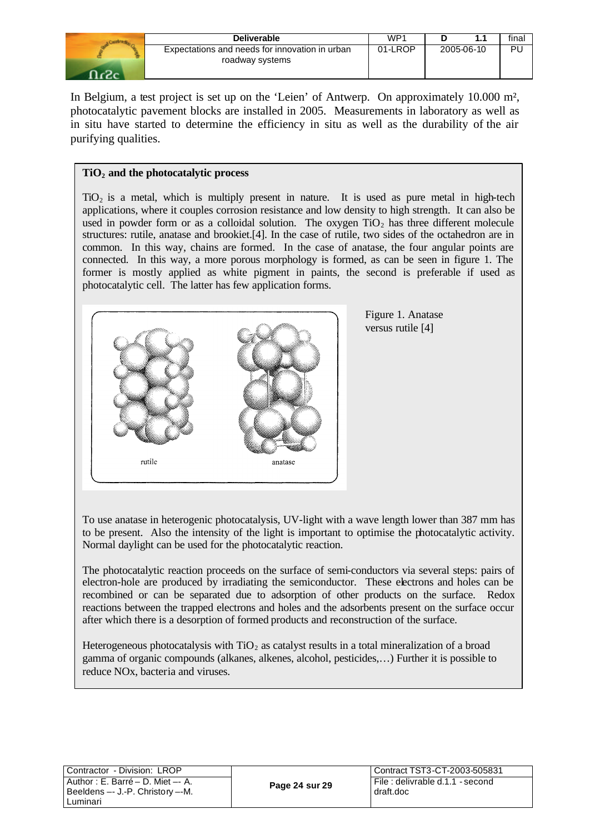| <b>Deliverable</b>                                                | WP1     |            | final |
|-------------------------------------------------------------------|---------|------------|-------|
| Expectations and needs for innovation in urban<br>roadway systems | 01-LROP | 2005-06-10 | PU    |

In Belgium, a test project is set up on the 'Leien' of Antwerp. On approximately 10.000 m<sup>2</sup>, photocatalytic pavement blocks are installed in 2005. Measurements in laboratory as well as in situ have started to determine the efficiency in situ as well as the durability of the air purifying qualities.

#### **TiO2 and the photocatalytic process**

TiO2 is a metal, which is multiply present in nature. It is used as pure metal in high-tech applications, where it couples corrosion resistance and low density to high strength. It can also be used in powder form or as a colloidal solution. The oxygen  $TiO<sub>2</sub>$  has three different molecule structures: rutile, anatase and brookiet.[4]. In the case of rutile, two sides of the octahedron are in common. In this way, chains are formed. In the case of anatase, the four angular points are connected. In this way, a more porous morphology is formed, as can be seen in figure 1. The former is mostly applied as white pigment in paints, the second is preferable if used as photocatalytic cell. The latter has few application forms.



Figure 1. Anatase versus rutile [4]

To use anatase in heterogenic photocatalysis, UV-light with a wave length lower than 387 mm has to be present. Also the intensity of the light is important to optimise the photocatalytic activity. Normal daylight can be used for the photocatalytic reaction.

The photocatalytic reaction proceeds on the surface of semi-conductors via several steps: pairs of electron-hole are produced by irradiating the semiconductor. These electrons and holes can be recombined or can be separated due to adsorption of other products on the surface. Redox reactions between the trapped electrons and holes and the adsorbents present on the surface occur after which there is a desorption of formed products and reconstruction of the surface.

Heterogeneous photocatalysis with  $TiO<sub>2</sub>$  as catalyst results in a total mineralization of a broad gamma of organic compounds (alkanes, alkenes, alcohol, pesticides,…) Further it is possible to reduce NOx, bacteria and viruses.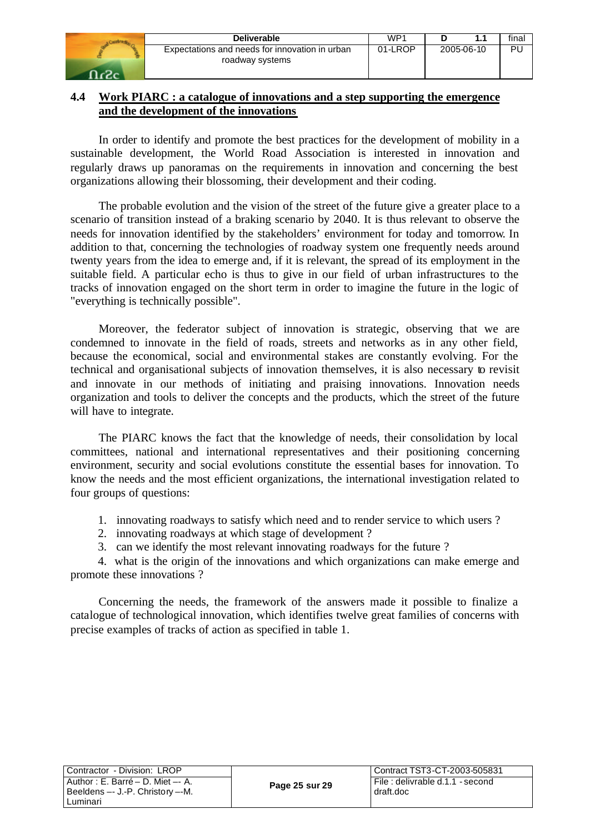| Deliverable                                                       | WP1     |            | final |
|-------------------------------------------------------------------|---------|------------|-------|
| Expectations and needs for innovation in urban<br>roadway systems | 01-LROP | 2005-06-10 | Ρl    |

## **4.4 Work PIARC : a catalogue of innovations and a step supporting the emergence and the development of the innovations**

In order to identify and promote the best practices for the development of mobility in a sustainable development, the World Road Association is interested in innovation and regularly draws up panoramas on the requirements in innovation and concerning the best organizations allowing their blossoming, their development and their coding.

The probable evolution and the vision of the street of the future give a greater place to a scenario of transition instead of a braking scenario by 2040. It is thus relevant to observe the needs for innovation identified by the stakeholders' environment for today and tomorrow. In addition to that, concerning the technologies of roadway system one frequently needs around twenty years from the idea to emerge and, if it is relevant, the spread of its employment in the suitable field. A particular echo is thus to give in our field of urban infrastructures to the tracks of innovation engaged on the short term in order to imagine the future in the logic of "everything is technically possible".

Moreover, the federator subject of innovation is strategic, observing that we are condemned to innovate in the field of roads, streets and networks as in any other field, because the economical, social and environmental stakes are constantly evolving. For the technical and organisational subjects of innovation themselves, it is also necessary to revisit and innovate in our methods of initiating and praising innovations. Innovation needs organization and tools to deliver the concepts and the products, which the street of the future will have to integrate.

The PIARC knows the fact that the knowledge of needs, their consolidation by local committees, national and international representatives and their positioning concerning environment, security and social evolutions constitute the essential bases for innovation. To know the needs and the most efficient organizations, the international investigation related to four groups of questions:

- 1. innovating roadways to satisfy which need and to render service to which users ?
- 2. innovating roadways at which stage of development ?
- 3. can we identify the most relevant innovating roadways for the future ?

4. what is the origin of the innovations and which organizations can make emerge and promote these innovations ?

Concerning the needs, the framework of the answers made it possible to finalize a catalogue of technological innovation, which identifies twelve great families of concerns with precise examples of tracks of action as specified in table 1.

| Contractor - Division: LROP      |
|----------------------------------|
| Author: E. Barré - D. Miet -- A. |
| Beeldens -- J.-P. Christory --M. |
| Luminari                         |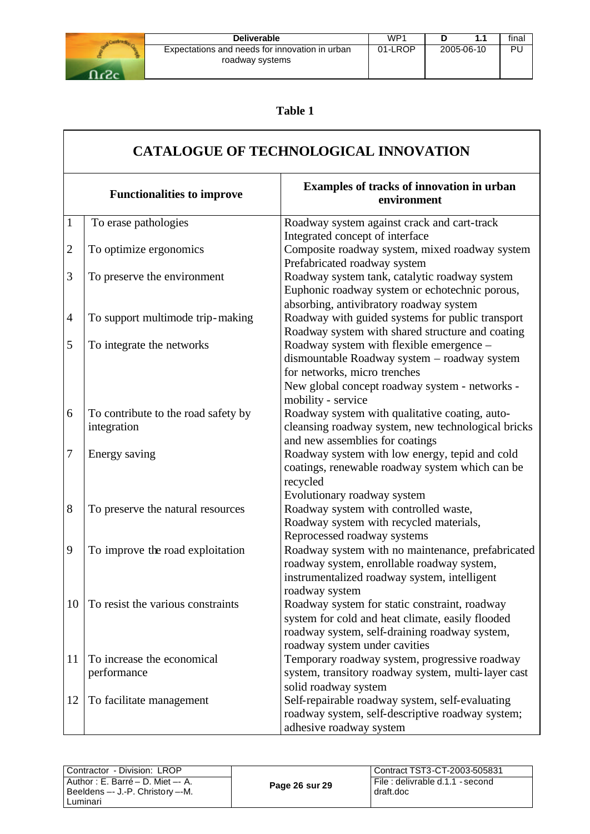

| <b>Deliverable</b>                                                | WP1     |            | final |
|-------------------------------------------------------------------|---------|------------|-------|
| Expectations and needs for innovation in urban<br>roadway systems | 01-LROP | 2005-06-10 | PU    |

# **Table 1**

|                | <b>CATALOGUE OF TECHNOLOGICAL INNOVATION</b>       |                                                                                                                                                                                                  |  |  |
|----------------|----------------------------------------------------|--------------------------------------------------------------------------------------------------------------------------------------------------------------------------------------------------|--|--|
|                | <b>Functionalities to improve</b>                  | Examples of tracks of innovation in urban<br>environment                                                                                                                                         |  |  |
| $\mathbf{1}$   | To erase pathologies                               | Roadway system against crack and cart-track<br>Integrated concept of interface                                                                                                                   |  |  |
| $\mathbf{2}$   | To optimize ergonomics                             | Composite roadway system, mixed roadway system<br>Prefabricated roadway system                                                                                                                   |  |  |
| 3              | To preserve the environment                        | Roadway system tank, catalytic roadway system<br>Euphonic roadway system or echotechnic porous,<br>absorbing, antivibratory roadway system                                                       |  |  |
| $\overline{4}$ | To support multimode trip-making                   | Roadway with guided systems for public transport<br>Roadway system with shared structure and coating                                                                                             |  |  |
| 5              | To integrate the networks                          | Roadway system with flexible emergence -<br>dismountable Roadway system - roadway system<br>for networks, micro trenches<br>New global concept roadway system - networks -<br>mobility - service |  |  |
| 6              | To contribute to the road safety by<br>integration | Roadway system with qualitative coating, auto-<br>cleansing roadway system, new technological bricks<br>and new assemblies for coatings                                                          |  |  |
| 7              | Energy saving                                      | Roadway system with low energy, tepid and cold<br>coatings, renewable roadway system which can be<br>recycled<br>Evolutionary roadway system                                                     |  |  |
| $8\,$          | To preserve the natural resources                  | Roadway system with controlled waste,<br>Roadway system with recycled materials,<br>Reprocessed roadway systems                                                                                  |  |  |
| 9              | To improve the road exploitation                   | Roadway system with no maintenance, prefabricated<br>roadway system, enrollable roadway system,<br>instrumentalized roadway system, intelligent<br>roadway system                                |  |  |
| 10             | To resist the various constraints                  | Roadway system for static constraint, roadway<br>system for cold and heat climate, easily flooded<br>roadway system, self-draining roadway system,<br>roadway system under cavities              |  |  |
| 11             | To increase the economical<br>performance          | Temporary roadway system, progressive roadway<br>system, transitory roadway system, multi-layer cast<br>solid roadway system                                                                     |  |  |
| 12             | To facilitate management                           | Self-repairable roadway system, self-evaluating<br>roadway system, self-descriptive roadway system;<br>adhesive roadway system                                                                   |  |  |

| Contractor - Division: LROP                                                         |                | Contract TST3-CT-2003-505831                  |
|-------------------------------------------------------------------------------------|----------------|-----------------------------------------------|
| Author : E. Barré – D. Miet –- A.<br>Beeldens -- J.-P. Christory --M.<br>l Luminari | Page 26 sur 29 | File : delivrable d.1.1 - second<br>draft.doc |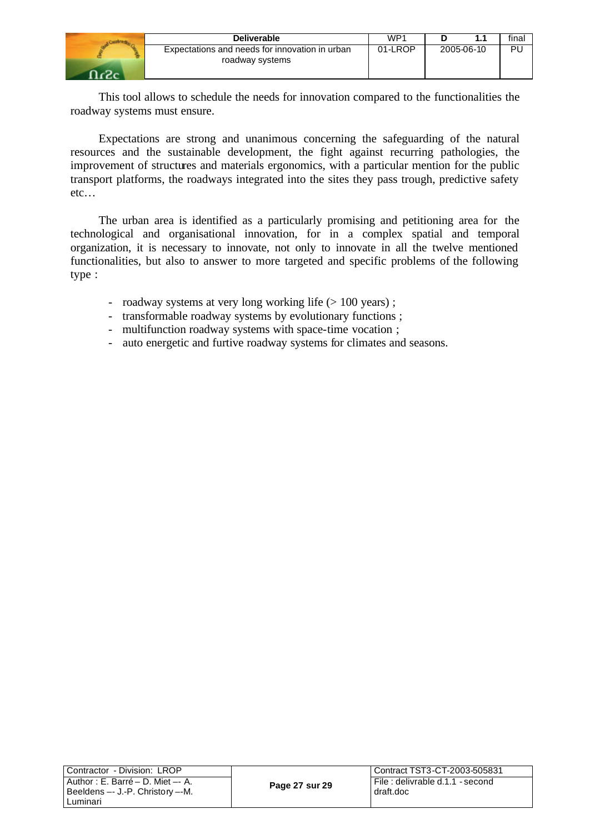| <b>Deliverable</b>                                                | WP <sup>1</sup> |            | final |
|-------------------------------------------------------------------|-----------------|------------|-------|
| Expectations and needs for innovation in urban<br>roadway systems | 01-LROP         | 2005-06-10 | Ρl    |
|                                                                   |                 |            |       |

This tool allows to schedule the needs for innovation compared to the functionalities the roadway systems must ensure.

Expectations are strong and unanimous concerning the safeguarding of the natural resources and the sustainable development, the fight against recurring pathologies, the improvement of structures and materials ergonomics, with a particular mention for the public transport platforms, the roadways integrated into the sites they pass trough, predictive safety etc…

The urban area is identified as a particularly promising and petitioning area for the technological and organisational innovation, for in a complex spatial and temporal organization, it is necessary to innovate, not only to innovate in all the twelve mentioned functionalities, but also to answer to more targeted and specific problems of the following type :

- roadway systems at very long working life ( $> 100$  years);
- transformable roadway systems by evolutionary functions ;
- multifunction roadway systems with space-time vocation ;
- auto energetic and furtive roadway systems for climates and seasons.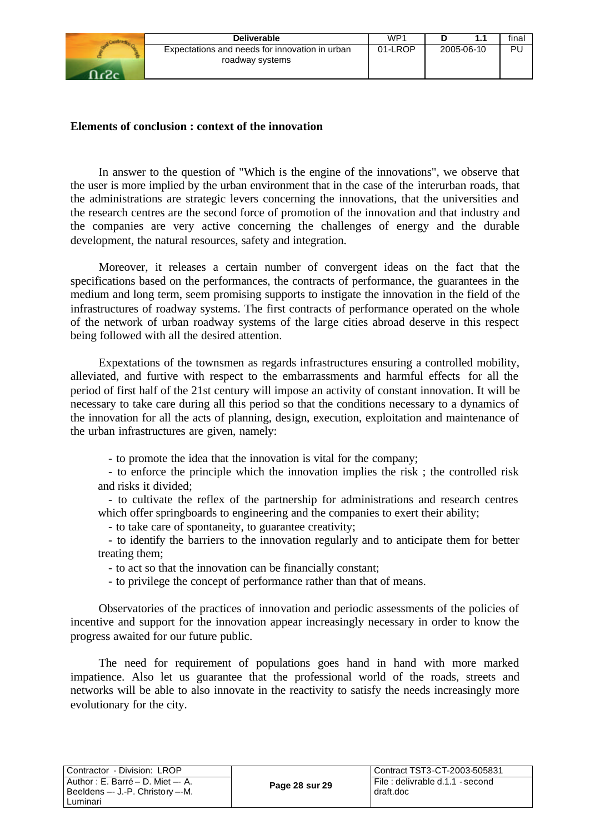| <b>Deliverable</b>                                                | WP <sup>4</sup> |            | fina |
|-------------------------------------------------------------------|-----------------|------------|------|
| Expectations and needs for innovation in urban<br>roadway systems | 01-LROP         | 2005-06-10 | Ρl   |
|                                                                   |                 |            |      |

#### **Elements of conclusion : context of the innovation**

In answer to the question of "Which is the engine of the innovations", we observe that the user is more implied by the urban environment that in the case of the interurban roads, that the administrations are strategic levers concerning the innovations, that the universities and the research centres are the second force of promotion of the innovation and that industry and the companies are very active concerning the challenges of energy and the durable development, the natural resources, safety and integration.

Moreover, it releases a certain number of convergent ideas on the fact that the specifications based on the performances, the contracts of performance, the guarantees in the medium and long term, seem promising supports to instigate the innovation in the field of the infrastructures of roadway systems. The first contracts of performance operated on the whole of the network of urban roadway systems of the large cities abroad deserve in this respect being followed with all the desired attention.

Expextations of the townsmen as regards infrastructures ensuring a controlled mobility, alleviated, and furtive with respect to the embarrassments and harmful effects for all the period of first half of the 21st century will impose an activity of constant innovation. It will be necessary to take care during all this period so that the conditions necessary to a dynamics of the innovation for all the acts of planning, design, execution, exploitation and maintenance of the urban infrastructures are given, namely:

- to promote the idea that the innovation is vital for the company;

- to enforce the principle which the innovation implies the risk ; the controlled risk and risks it divided;

- to cultivate the reflex of the partnership for administrations and research centres which offer springboards to engineering and the companies to exert their ability;

- to take care of spontaneity, to guarantee creativity;

- to identify the barriers to the innovation regularly and to anticipate them for better treating them;

- to act so that the innovation can be financially constant;

- to privilege the concept of performance rather than that of means.

Observatories of the practices of innovation and periodic assessments of the policies of incentive and support for the innovation appear increasingly necessary in order to know the progress awaited for our future public.

The need for requirement of populations goes hand in hand with more marked impatience. Also let us guarantee that the professional world of the roads, streets and networks will be able to also innovate in the reactivity to satisfy the needs increasingly more evolutionary for the city.

| Contractor - Division: LROP        |                | l Contract TST3-CT-2003-505831   |
|------------------------------------|----------------|----------------------------------|
|                                    |                |                                  |
| 'Author : E. Barré – D. Miet –- A. | Page 28 sur 29 | File : delivrable d.1.1 - second |
| Beeldens -- J.-P. Christory --M.   |                | draft.doc                        |
| ∟uminari                           |                |                                  |